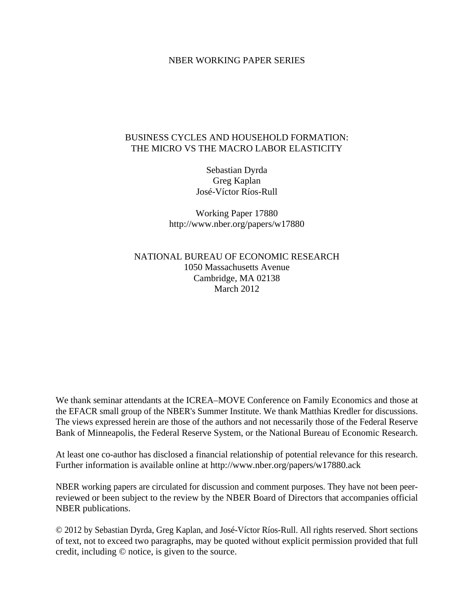### NBER WORKING PAPER SERIES

## BUSINESS CYCLES AND HOUSEHOLD FORMATION: THE MICRO VS THE MACRO LABOR ELASTICITY

Sebastian Dyrda Greg Kaplan José-Víctor Ríos-Rull

Working Paper 17880 http://www.nber.org/papers/w17880

NATIONAL BUREAU OF ECONOMIC RESEARCH 1050 Massachusetts Avenue Cambridge, MA 02138 March 2012

We thank seminar attendants at the ICREA–MOVE Conference on Family Economics and those at the EFACR small group of the NBER's Summer Institute. We thank Matthias Kredler for discussions. The views expressed herein are those of the authors and not necessarily those of the Federal Reserve Bank of Minneapolis, the Federal Reserve System, or the National Bureau of Economic Research.

At least one co-author has disclosed a financial relationship of potential relevance for this research. Further information is available online at http://www.nber.org/papers/w17880.ack

NBER working papers are circulated for discussion and comment purposes. They have not been peerreviewed or been subject to the review by the NBER Board of Directors that accompanies official NBER publications.

© 2012 by Sebastian Dyrda, Greg Kaplan, and José-Víctor Ríos-Rull. All rights reserved. Short sections of text, not to exceed two paragraphs, may be quoted without explicit permission provided that full credit, including © notice, is given to the source.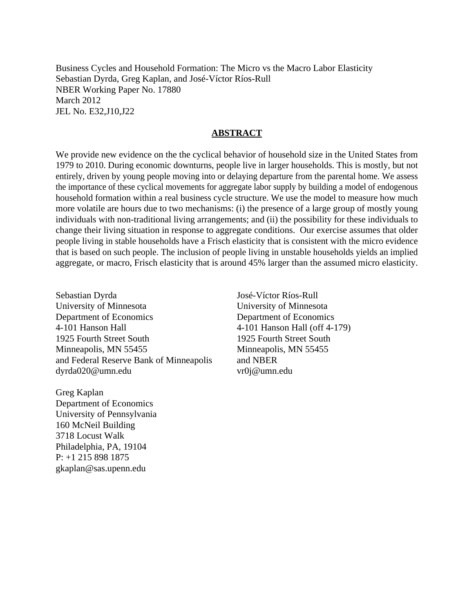Business Cycles and Household Formation: The Micro vs the Macro Labor Elasticity Sebastian Dyrda, Greg Kaplan, and José-Víctor Ríos-Rull NBER Working Paper No. 17880 March 2012 JEL No. E32,J10,J22

#### **ABSTRACT**

We provide new evidence on the the cyclical behavior of household size in the United States from 1979 to 2010. During economic downturns, people live in larger households. This is mostly, but not entirely, driven by young people moving into or delaying departure from the parental home. We assess the importance of these cyclical movements for aggregate labor supply by building a model of endogenous household formation within a real business cycle structure. We use the model to measure how much more volatile are hours due to two mechanisms: (i) the presence of a large group of mostly young individuals with non-traditional living arrangements; and (ii) the possibility for these individuals to change their living situation in response to aggregate conditions. Our exercise assumes that older people living in stable households have a Frisch elasticity that is consistent with the micro evidence that is based on such people. The inclusion of people living in unstable households yields an implied aggregate, or macro, Frisch elasticity that is around 45% larger than the assumed micro elasticity.

Sebastian Dyrda University of Minnesota Department of Economics 4-101 Hanson Hall 1925 Fourth Street South Minneapolis, MN 55455 and Federal Reserve Bank of Minneapolis dyrda020@umn.edu

Greg Kaplan Department of Economics University of Pennsylvania 160 McNeil Building 3718 Locust Walk Philadelphia, PA, 19104 P: +1 215 898 1875 gkaplan@sas.upenn.edu

José-Víctor Ríos-Rull University of Minnesota Department of Economics 4-101 Hanson Hall (off 4-179) 1925 Fourth Street South Minneapolis, MN 55455 and NBER vr0j@umn.edu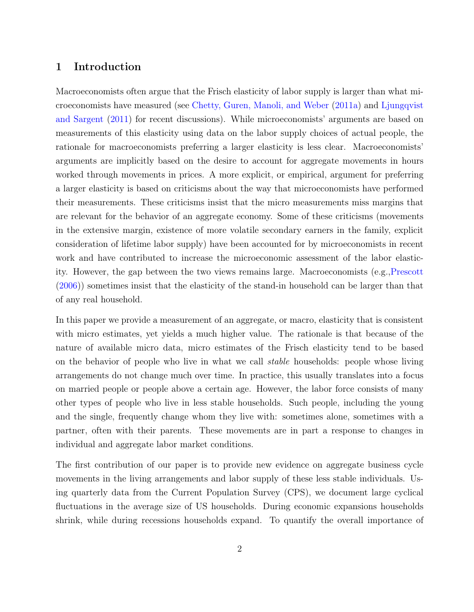## 1 Introduction

Macroeconomists often argue that the Frisch elasticity of labor supply is larger than what microeconomists have measured (see [Chetty, Guren, Manoli, and Weber](#page-36-0) [\(2011a](#page-36-0)) and [Ljungqvist](#page-36-1) [and Sargent](#page-36-1) ([2011](#page-36-1)) for recent discussions). While microeconomists' arguments are based on measurements of this elasticity using data on the labor supply choices of actual people, the rationale for macroeconomists preferring a larger elasticity is less clear. Macroeconomists' arguments are implicitly based on the desire to account for aggregate movements in hours worked through movements in prices. A more explicit, or empirical, argument for preferring a larger elasticity is based on criticisms about the way that microeconomists have performed their measurements. These criticisms insist that the micro measurements miss margins that are relevant for the behavior of an aggregate economy. Some of these criticisms (movements in the extensive margin, existence of more volatile secondary earners in the family, explicit consideration of lifetime labor supply) have been accounted for by microeconomists in recent work and have contributed to increase the microeconomic assessment of the labor elasticity. However, the gap between the two views remains large. Macroeconomists (e.g.,[Prescott](#page-37-0) ([2006\)](#page-37-0)) sometimes insist that the elasticity of the stand-in household can be larger than that of any real household.

In this paper we provide a measurement of an aggregate, or macro, elasticity that is consistent with micro estimates, yet yields a much higher value. The rationale is that because of the nature of available micro data, micro estimates of the Frisch elasticity tend to be based on the behavior of people who live in what we call *stable* households: people whose living arrangements do not change much over time. In practice, this usually translates into a focus on married people or people above a certain age. However, the labor force consists of many other types of people who live in less stable households. Such people, including the young and the single, frequently change whom they live with: sometimes alone, sometimes with a partner, often with their parents. These movements are in part a response to changes in individual and aggregate labor market conditions.

The first contribution of our paper is to provide new evidence on aggregate business cycle movements in the living arrangements and labor supply of these less stable individuals. Using quarterly data from the Current Population Survey (CPS), we document large cyclical fluctuations in the average size of US households. During economic expansions households shrink, while during recessions households expand. To quantify the overall importance of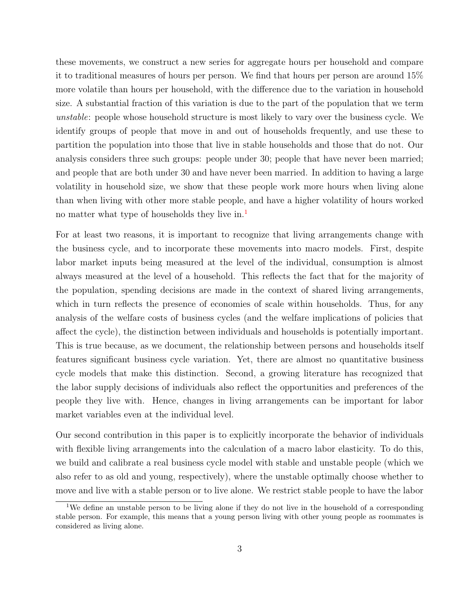these movements, we construct a new series for aggregate hours per household and compare it to traditional measures of hours per person. We find that hours per person are around 15% more volatile than hours per household, with the difference due to the variation in household size. A substantial fraction of this variation is due to the part of the population that we term *unstable*: people whose household structure is most likely to vary over the business cycle. We identify groups of people that move in and out of households frequently, and use these to partition the population into those that live in stable households and those that do not. Our analysis considers three such groups: people under 30; people that have never been married; and people that are both under 30 and have never been married. In addition to having a large volatility in household size, we show that these people work more hours when living alone than when living with other more stable people, and have a higher volatility of hours worked no matter what type of households they live in.<sup>[1](#page-3-0)</sup>

For at least two reasons, it is important to recognize that living arrangements change with the business cycle, and to incorporate these movements into macro models. First, despite labor market inputs being measured at the level of the individual, consumption is almost always measured at the level of a household. This reflects the fact that for the majority of the population, spending decisions are made in the context of shared living arrangements, which in turn reflects the presence of economies of scale within households. Thus, for any analysis of the welfare costs of business cycles (and the welfare implications of policies that affect the cycle), the distinction between individuals and households is potentially important. This is true because, as we document, the relationship between persons and households itself features significant business cycle variation. Yet, there are almost no quantitative business cycle models that make this distinction. Second, a growing literature has recognized that the labor supply decisions of individuals also reflect the opportunities and preferences of the people they live with. Hence, changes in living arrangements can be important for labor market variables even at the individual level.

Our second contribution in this paper is to explicitly incorporate the behavior of individuals with flexible living arrangements into the calculation of a macro labor elasticity. To do this, we build and calibrate a real business cycle model with stable and unstable people (which we also refer to as old and young, respectively), where the unstable optimally choose whether to move and live with a stable person or to live alone. We restrict stable people to have the labor

<span id="page-3-0"></span><sup>&</sup>lt;sup>1</sup>We define an unstable person to be living alone if they do not live in the household of a corresponding stable person. For example, this means that a young person living with other young people as roommates is considered as living alone.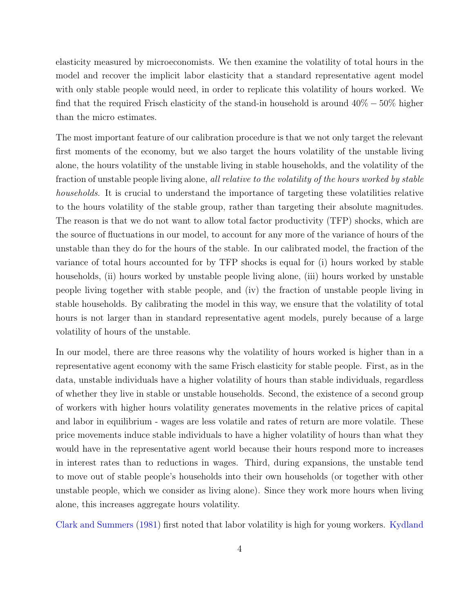elasticity measured by microeconomists. We then examine the volatility of total hours in the model and recover the implicit labor elasticity that a standard representative agent model with only stable people would need, in order to replicate this volatility of hours worked. We find that the required Frisch elasticity of the stand-in household is around 40% *−* 50% higher than the micro estimates.

The most important feature of our calibration procedure is that we not only target the relevant first moments of the economy, but we also target the hours volatility of the unstable living alone, the hours volatility of the unstable living in stable households, and the volatility of the fraction of unstable people living alone, *all relative to the volatility of the hours worked by stable households*. It is crucial to understand the importance of targeting these volatilities relative to the hours volatility of the stable group, rather than targeting their absolute magnitudes. The reason is that we do not want to allow total factor productivity (TFP) shocks, which are the source of fluctuations in our model, to account for any more of the variance of hours of the unstable than they do for the hours of the stable. In our calibrated model, the fraction of the variance of total hours accounted for by TFP shocks is equal for (i) hours worked by stable households, (ii) hours worked by unstable people living alone, (iii) hours worked by unstable people living together with stable people, and (iv) the fraction of unstable people living in stable households. By calibrating the model in this way, we ensure that the volatility of total hours is not larger than in standard representative agent models, purely because of a large volatility of hours of the unstable.

In our model, there are three reasons why the volatility of hours worked is higher than in a representative agent economy with the same Frisch elasticity for stable people. First, as in the data, unstable individuals have a higher volatility of hours than stable individuals, regardless of whether they live in stable or unstable households. Second, the existence of a second group of workers with higher hours volatility generates movements in the relative prices of capital and labor in equilibrium - wages are less volatile and rates of return are more volatile. These price movements induce stable individuals to have a higher volatility of hours than what they would have in the representative agent world because their hours respond more to increases in interest rates than to reductions in wages. Third, during expansions, the unstable tend to move out of stable people's households into their own households (or together with other unstable people, which we consider as living alone). Since they work more hours when living alone, this increases aggregate hours volatility.

[Clark and Summers](#page-36-2) [\(1981](#page-36-2)) first noted that labor volatility is high for young workers. [Kydland](#page-36-3)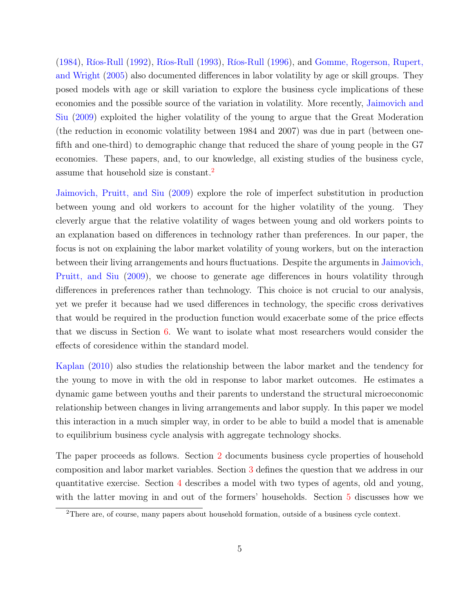([1984\)](#page-36-3), [Ríos-Rull](#page-37-1) ([1992\)](#page-37-1), [Ríos-Rull](#page-37-2) ([1993\)](#page-37-2), [Ríos-Rull](#page-37-3) ([1996\)](#page-37-3), and [Gomme, Rogerson, Rupert,](#page-36-4) [and Wright](#page-36-4) ([2005\)](#page-36-4) also documented differences in labor volatility by age or skill groups. They posed models with age or skill variation to explore the business cycle implications of these economies and the possible source of the variation in volatility. More recently, [Jaimovich and](#page-36-5) [Siu](#page-36-5) [\(2009\)](#page-36-5) exploited the higher volatility of the young to argue that the Great Moderation (the reduction in economic volatility between 1984 and 2007) was due in part (between onefifth and one-third) to demographic change that reduced the share of young people in the G7 economies. These papers, and, to our knowledge, all existing studies of the business cycle, assume that household size is constant.[2](#page-5-0)

[Jaimovich, Pruitt, and Siu](#page-36-6) ([2009](#page-36-6)) explore the role of imperfect substitution in production between young and old workers to account for the higher volatility of the young. They cleverly argue that the relative volatility of wages between young and old workers points to an explanation based on differences in technology rather than preferences. In our paper, the focus is not on explaining the labor market volatility of young workers, but on the interaction between their living arrangements and hours fluctuations. Despite the arguments in [Jaimovich,](#page-36-6) [Pruitt, and Siu](#page-36-6) [\(2009\)](#page-36-6), we choose to generate age differences in hours volatility through differences in preferences rather than technology. This choice is not crucial to our analysis, yet we prefer it because had we used differences in technology, the specific cross derivatives that would be required in the production function would exacerbate some of the price effects that we discuss in Section [6.](#page-25-0) We want to isolate what most researchers would consider the effects of coresidence within the standard model.

[Kaplan](#page-36-7) [\(2010\)](#page-36-7) also studies the relationship between the labor market and the tendency for the young to move in with the old in response to labor market outcomes. He estimates a dynamic game between youths and their parents to understand the structural microeconomic relationship between changes in living arrangements and labor supply. In this paper we model this interaction in a much simpler way, in order to be able to build a model that is amenable to equilibrium business cycle analysis with aggregate technology shocks.

The paper proceeds as follows. Section [2](#page-6-0) documents business cycle properties of household composition and labor market variables. Section [3](#page-13-0) defines the question that we address in our quantitative exercise. Section [4](#page-14-0) describes a model with two types of agents, old and young, with the latter moving in and out of the formers' households. Section [5](#page-19-0) discusses how we

<span id="page-5-0"></span><sup>2</sup>There are, of course, many papers about household formation, outside of a business cycle context.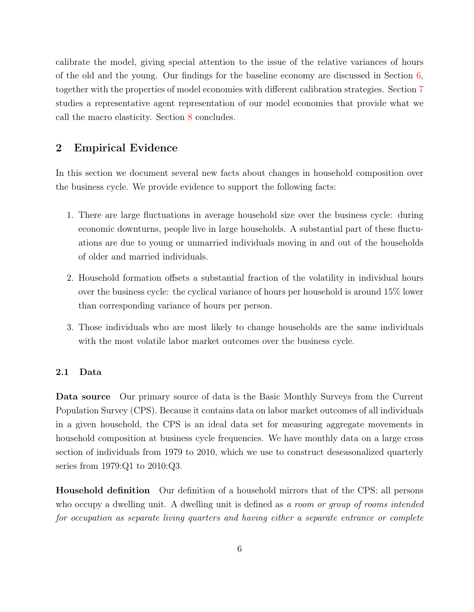calibrate the model, giving special attention to the issue of the relative variances of hours of the old and the young. Our findings for the baseline economy are discussed in Section [6,](#page-25-0) together with the properties of model economies with different calibration strategies. Section [7](#page-32-0) studies a representative agent representation of our model economies that provide what we call the macro elasticity. Section [8](#page-34-0) concludes.

## <span id="page-6-0"></span>2 Empirical Evidence

In this section we document several new facts about changes in household composition over the business cycle. We provide evidence to support the following facts:

- 1. There are large fluctuations in average household size over the business cycle: during economic downturns, people live in large households. A substantial part of these fluctuations are due to young or unmarried individuals moving in and out of the households of older and married individuals.
- 2. Household formation offsets a substantial fraction of the volatility in individual hours over the business cycle: the cyclical variance of hours per household is around 15% lower than corresponding variance of hours per person.
- 3. Those individuals who are most likely to change households are the same individuals with the most volatile labor market outcomes over the business cycle.

#### 2.1 Data

Data source Our primary source of data is the Basic Monthly Surveys from the Current Population Survey (CPS). Because it contains data on labor market outcomes of all individuals in a given household, the CPS is an ideal data set for measuring aggregate movements in household composition at business cycle frequencies. We have monthly data on a large cross section of individuals from 1979 to 2010, which we use to construct deseasonalized quarterly series from 1979:Q1 to 2010:Q3.

Household definition Our definition of a household mirrors that of the CPS: all persons who occupy a dwelling unit. A dwelling unit is defined as *a room or group of rooms intended for occupation as separate living quarters and having either a separate entrance or complete*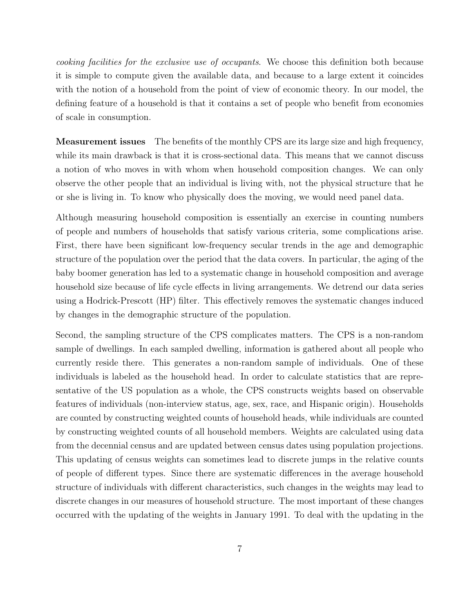*cooking facilities for the exclusive use of occupants*. We choose this definition both because it is simple to compute given the available data, and because to a large extent it coincides with the notion of a household from the point of view of economic theory. In our model, the defining feature of a household is that it contains a set of people who benefit from economies of scale in consumption.

Measurement issues The benefits of the monthly CPS are its large size and high frequency, while its main drawback is that it is cross-sectional data. This means that we cannot discuss a notion of who moves in with whom when household composition changes. We can only observe the other people that an individual is living with, not the physical structure that he or she is living in. To know who physically does the moving, we would need panel data.

Although measuring household composition is essentially an exercise in counting numbers of people and numbers of households that satisfy various criteria, some complications arise. First, there have been significant low-frequency secular trends in the age and demographic structure of the population over the period that the data covers. In particular, the aging of the baby boomer generation has led to a systematic change in household composition and average household size because of life cycle effects in living arrangements. We detrend our data series using a Hodrick-Prescott (HP) filter. This effectively removes the systematic changes induced by changes in the demographic structure of the population.

Second, the sampling structure of the CPS complicates matters. The CPS is a non-random sample of dwellings. In each sampled dwelling, information is gathered about all people who currently reside there. This generates a non-random sample of individuals. One of these individuals is labeled as the household head. In order to calculate statistics that are representative of the US population as a whole, the CPS constructs weights based on observable features of individuals (non-interview status, age, sex, race, and Hispanic origin). Households are counted by constructing weighted counts of household heads, while individuals are counted by constructing weighted counts of all household members. Weights are calculated using data from the decennial census and are updated between census dates using population projections. This updating of census weights can sometimes lead to discrete jumps in the relative counts of people of different types. Since there are systematic differences in the average household structure of individuals with different characteristics, such changes in the weights may lead to discrete changes in our measures of household structure. The most important of these changes occurred with the updating of the weights in January 1991. To deal with the updating in the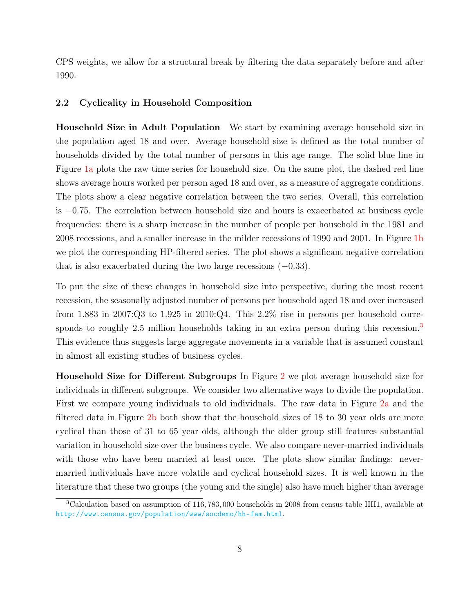CPS weights, we allow for a structural break by filtering the data separately before and after 1990.

#### 2.2 Cyclicality in Household Composition

Household Size in Adult Population We start by examining average household size in the population aged 18 and over. Average household size is defined as the total number of households divided by the total number of persons in this age range. The solid blue line in Figure [1a](#page-9-0) plots the raw time series for household size. On the same plot, the dashed red line shows average hours worked per person aged 18 and over, as a measure of aggregate conditions. The plots show a clear negative correlation between the two series. Overall, this correlation is *−*0*.*75. The correlation between household size and hours is exacerbated at business cycle frequencies: there is a sharp increase in the number of people per household in the 1981 and 2008 recessions, and a smaller increase in the milder recessions of 1990 and 2001. In Figure [1b](#page-9-1) we plot the corresponding HP-filtered series. The plot shows a significant negative correlation that is also exacerbated during the two large recessions (*−*0*.*33).

To put the size of these changes in household size into perspective, during the most recent recession, the seasonally adjusted number of persons per household aged 18 and over increased from 1.883 in 2007:Q3 to 1.925 in 2010:Q4. This 2.2% rise in persons per household corre-sponds to roughly 2.5 million households taking in an extra person during this recession.<sup>[3](#page-8-0)</sup> This evidence thus suggests large aggregate movements in a variable that is assumed constant in almost all existing studies of business cycles.

Household Size for Different Subgroups In Figure [2](#page-10-0) we plot average household size for individuals in different subgroups. We consider two alternative ways to divide the population. First we compare young individuals to old individuals. The raw data in Figure [2a](#page-10-1) and the filtered data in Figure [2b](#page-10-2) both show that the household sizes of 18 to 30 year olds are more cyclical than those of 31 to 65 year olds, although the older group still features substantial variation in household size over the business cycle. We also compare never-married individuals with those who have been married at least once. The plots show similar findings: nevermarried individuals have more volatile and cyclical household sizes. It is well known in the literature that these two groups (the young and the single) also have much higher than average

<span id="page-8-0"></span><sup>3</sup>Calculation based on assumption of 116*,* 783*,* 000 households in 2008 from census table HH1, available at <http://www.census.gov/population/www/socdemo/hh-fam.html>.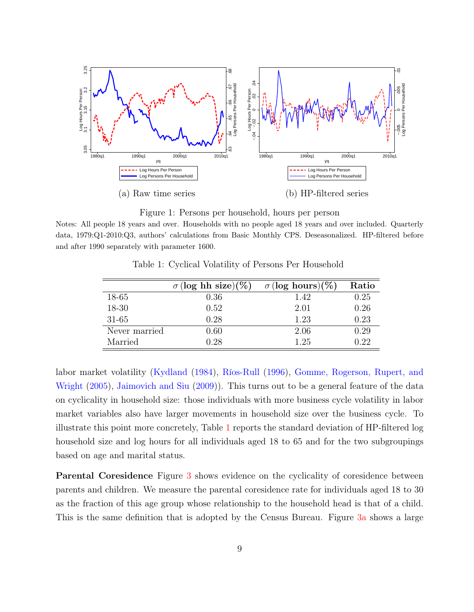

<span id="page-9-1"></span>Figure 1: Persons per household, hours per person

<span id="page-9-2"></span><span id="page-9-0"></span>Notes: All people 18 years and over. Households with no people aged 18 years and over included. Quarterly data, 1979:Q1-2010:Q3, authors' calculations from Basic Monthly CPS. Deseasonalized. HP-filtered before and after 1990 separately with parameter 1600.

|               | $\sigma$ (log hh size)(%) | $\sigma$ (log hours)(%) | Ratio |
|---------------|---------------------------|-------------------------|-------|
| 18-65         | 0.36                      | 1.42                    | 0.25  |
| $18 - 30$     | 0.52                      | 2.01                    | 0.26  |
| $31 - 65$     | 0.28                      | 1.23                    | 0.23  |
| Never married | 0.60                      | 2.06                    | 0.29  |
| Married       | 1.28                      | 1.25                    | 0.22  |

Table 1: Cyclical Volatility of Persons Per Household

labor market volatility [\(Kydland](#page-36-3) [\(1984\)](#page-36-3), [Ríos-Rull](#page-37-3) ([1996](#page-37-3)), [Gomme, Rogerson, Rupert, and](#page-36-4) [Wright](#page-36-4) ([2005](#page-36-4)), [Jaimovich and Siu](#page-36-5) [\(2009\)](#page-36-5)). This turns out to be a general feature of the data on cyclicality in household size: those individuals with more business cycle volatility in labor market variables also have larger movements in household size over the business cycle. To illustrate this point more concretely, Table [1](#page-9-2) reports the standard deviation of HP-filtered log household size and log hours for all individuals aged 18 to 65 and for the two subgroupings based on age and marital status.

Parental Coresidence Figure [3](#page-11-0) shows evidence on the cyclicality of coresidence between parents and children. We measure the parental coresidence rate for individuals aged 18 to 30 as the fraction of this age group whose relationship to the household head is that of a child. This is the same definition that is adopted by the Census Bureau. Figure [3a](#page-11-1) shows a large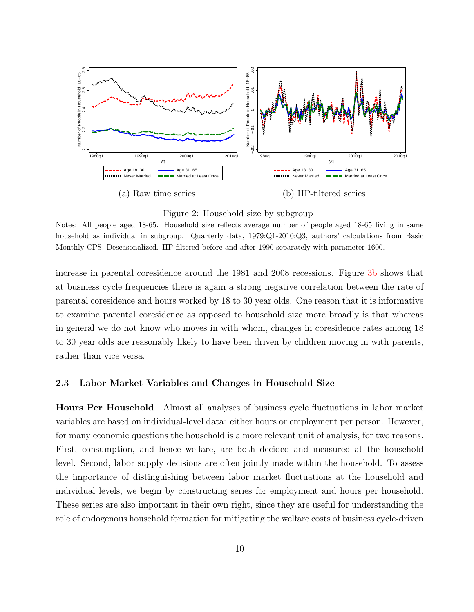<span id="page-10-0"></span>

<span id="page-10-2"></span>

<span id="page-10-1"></span>Notes: All people aged 18-65. Household size reflects average number of people aged 18-65 living in same household as individual in subgroup. Quarterly data, 1979:Q1-2010:Q3, authors' calculations from Basic Monthly CPS. Deseasonalized. HP-filtered before and after 1990 separately with parameter 1600.

increase in parental coresidence around the 1981 and 2008 recessions. Figure [3b](#page-11-2) shows that at business cycle frequencies there is again a strong negative correlation between the rate of parental coresidence and hours worked by 18 to 30 year olds. One reason that it is informative to examine parental coresidence as opposed to household size more broadly is that whereas in general we do not know who moves in with whom, changes in coresidence rates among 18 to 30 year olds are reasonably likely to have been driven by children moving in with parents, rather than vice versa.

#### <span id="page-10-3"></span>2.3 Labor Market Variables and Changes in Household Size

Hours Per Household Almost all analyses of business cycle fluctuations in labor market variables are based on individual-level data: either hours or employment per person. However, for many economic questions the household is a more relevant unit of analysis, for two reasons. First, consumption, and hence welfare, are both decided and measured at the household level. Second, labor supply decisions are often jointly made within the household. To assess the importance of distinguishing between labor market fluctuations at the household and individual levels, we begin by constructing series for employment and hours per household. These series are also important in their own right, since they are useful for understanding the role of endogenous household formation for mitigating the welfare costs of business cycle-driven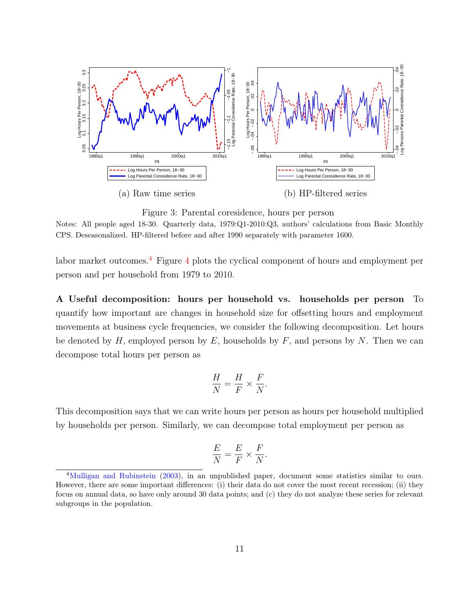<span id="page-11-0"></span>

<span id="page-11-2"></span>Figure 3: Parental coresidence, hours per person

<span id="page-11-1"></span>Notes: All people aged 18-30. Quarterly data, 1979:Q1-2010:Q3, authors' calculations from Basic Monthly CPS. Deseasonalized. HP-filtered before and after 1990 separately with parameter 1600.

labor market outcomes.[4](#page-11-3) Figure [4](#page-12-0) plots the cyclical component of hours and employment per person and per household from 1979 to 2010.

A Useful decomposition: hours per household vs. households per person To quantify how important are changes in household size for offsetting hours and employment movements at business cycle frequencies, we consider the following decomposition. Let hours be denoted by *H,* employed person by *E*, households by *F*, and persons by *N*. Then we can decompose total hours per person as

$$
\frac{H}{N} = \frac{H}{F} \times \frac{F}{N}.
$$

This decomposition says that we can write hours per person as hours per household multiplied by households per person. Similarly, we can decompose total employment per person as

$$
\frac{E}{N} = \frac{E}{F} \times \frac{F}{N}
$$

*.*

<span id="page-11-3"></span><sup>&</sup>lt;sup>4</sup>[Mulligan and Rubinstein](#page-37-4) [\(2003](#page-37-4)), in an unpublished paper, document some statistics similar to ours. However, there are some important differences: (i) their data do not cover the most recent recession; (ii) they focus on annual data, so have only around 30 data points; and (c) they do not analyze these series for relevant subgroups in the population.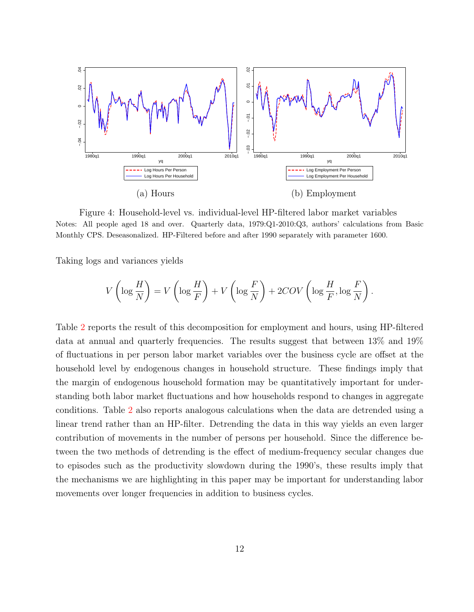<span id="page-12-0"></span>

Figure 4: Household-level vs. individual-level HP-filtered labor market variables Notes: All people aged 18 and over. Quarterly data, 1979:Q1-2010:Q3, authors' calculations from Basic Monthly CPS. Deseasonalized. HP-Filtered before and after 1990 separately with parameter 1600.

Taking logs and variances yields

$$
V\left(\log\frac{H}{N}\right) = V\left(\log\frac{H}{F}\right) + V\left(\log\frac{F}{N}\right) + 2COV\left(\log\frac{H}{F}, \log\frac{F}{N}\right).
$$

Table [2](#page-13-1) reports the result of this decomposition for employment and hours, using HP-filtered data at annual and quarterly frequencies. The results suggest that between 13% and 19% of fluctuations in per person labor market variables over the business cycle are offset at the household level by endogenous changes in household structure. These findings imply that the margin of endogenous household formation may be quantitatively important for understanding both labor market fluctuations and how households respond to changes in aggregate conditions. Table [2](#page-13-1) also reports analogous calculations when the data are detrended using a linear trend rather than an HP-filter. Detrending the data in this way yields an even larger contribution of movements in the number of persons per household. Since the difference between the two methods of detrending is the effect of medium-frequency secular changes due to episodes such as the productivity slowdown during the 1990's, these results imply that the mechanisms we are highlighting in this paper may be important for understanding labor movements over longer frequencies in addition to business cycles.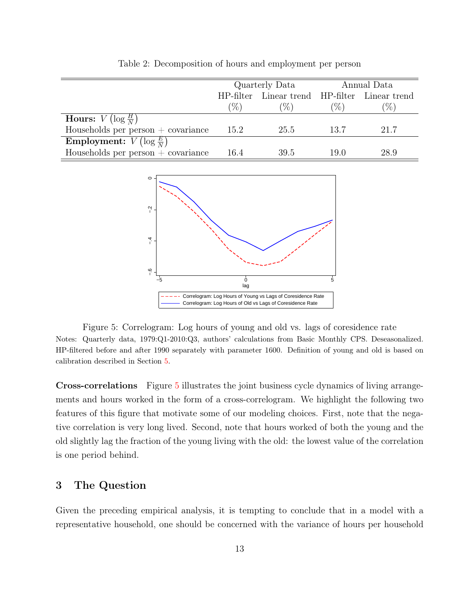<span id="page-13-1"></span>

|                                                     |        | Quarterly Data                                |        | Annual Data |
|-----------------------------------------------------|--------|-----------------------------------------------|--------|-------------|
|                                                     |        | HP-filter Linear trend HP-filter Linear trend |        |             |
|                                                     | $(\%)$ | $\mathcal{C}_{0}$                             | $(\%)$ | $(\%)$      |
| <b>Hours:</b> $V(\log \frac{H}{N})$                 |        |                                               |        |             |
| Households per person $+$ covariance                | 15.2   | 25.5                                          | 13.7   | 21.7        |
| <b>Employment:</b> $\overline{V(\log \frac{E}{N})}$ |        |                                               |        |             |
| Households per person $+$ covariance                | 16.4   | 39.5                                          | 19.0   | 28.9        |
|                                                     |        |                                               |        |             |

Table 2: Decomposition of hours and employment per person

<span id="page-13-2"></span>

Figure 5: Correlogram: Log hours of young and old vs. lags of coresidence rate Notes: Quarterly data, 1979:Q1-2010:Q3, authors' calculations from Basic Monthly CPS. Deseasonalized. HP-filtered before and after 1990 separately with parameter 1600. Definition of young and old is based on calibration described in Section [5](#page-19-0).

Cross-correlations Figure [5](#page-13-2) illustrates the joint business cycle dynamics of living arrangements and hours worked in the form of a cross-correlogram. We highlight the following two features of this figure that motivate some of our modeling choices. First, note that the negative correlation is very long lived. Second, note that hours worked of both the young and the old slightly lag the fraction of the young living with the old: the lowest value of the correlation is one period behind.

## <span id="page-13-0"></span>3 The Question

Given the preceding empirical analysis, it is tempting to conclude that in a model with a representative household, one should be concerned with the variance of hours per household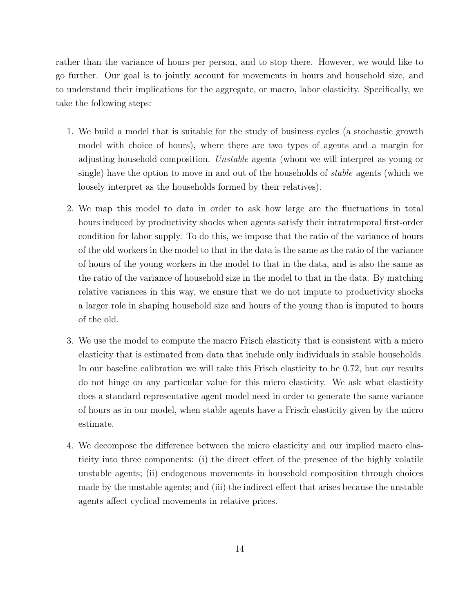rather than the variance of hours per person, and to stop there. However, we would like to go further. Our goal is to jointly account for movements in hours and household size, and to understand their implications for the aggregate, or macro, labor elasticity. Specifically, we take the following steps:

- 1. We build a model that is suitable for the study of business cycles (a stochastic growth model with choice of hours), where there are two types of agents and a margin for adjusting household composition. *Unstable* agents (whom we will interpret as young or single) have the option to move in and out of the households of *stable* agents (which we loosely interpret as the households formed by their relatives).
- 2. We map this model to data in order to ask how large are the fluctuations in total hours induced by productivity shocks when agents satisfy their intratemporal first-order condition for labor supply. To do this, we impose that the ratio of the variance of hours of the old workers in the model to that in the data is the same as the ratio of the variance of hours of the young workers in the model to that in the data, and is also the same as the ratio of the variance of household size in the model to that in the data. By matching relative variances in this way, we ensure that we do not impute to productivity shocks a larger role in shaping household size and hours of the young than is imputed to hours of the old.
- 3. We use the model to compute the macro Frisch elasticity that is consistent with a micro elasticity that is estimated from data that include only individuals in stable households. In our baseline calibration we will take this Frisch elasticity to be 0*.*72, but our results do not hinge on any particular value for this micro elasticity. We ask what elasticity does a standard representative agent model need in order to generate the same variance of hours as in our model, when stable agents have a Frisch elasticity given by the micro estimate.
- <span id="page-14-0"></span>4. We decompose the difference between the micro elasticity and our implied macro elasticity into three components: (i) the direct effect of the presence of the highly volatile unstable agents; (ii) endogenous movements in household composition through choices made by the unstable agents; and (iii) the indirect effect that arises because the unstable agents affect cyclical movements in relative prices.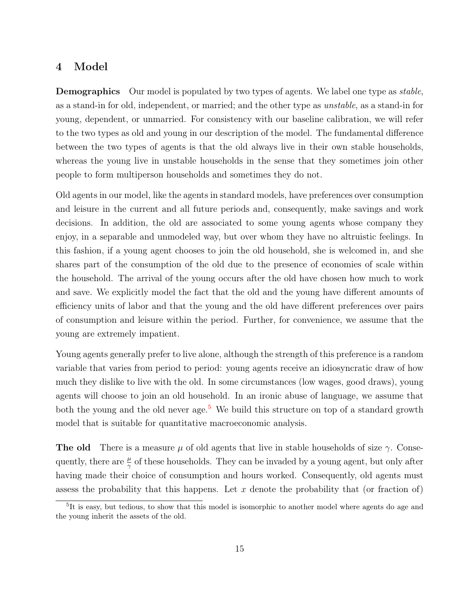## 4 Model

Demographics Our model is populated by two types of agents. We label one type as *stable*, as a stand-in for old, independent, or married; and the other type as *unstable*, as a stand-in for young, dependent, or unmarried. For consistency with our baseline calibration, we will refer to the two types as old and young in our description of the model. The fundamental difference between the two types of agents is that the old always live in their own stable households, whereas the young live in unstable households in the sense that they sometimes join other people to form multiperson households and sometimes they do not.

Old agents in our model, like the agents in standard models, have preferences over consumption and leisure in the current and all future periods and, consequently, make savings and work decisions. In addition, the old are associated to some young agents whose company they enjoy, in a separable and unmodeled way, but over whom they have no altruistic feelings. In this fashion, if a young agent chooses to join the old household, she is welcomed in, and she shares part of the consumption of the old due to the presence of economies of scale within the household. The arrival of the young occurs after the old have chosen how much to work and save. We explicitly model the fact that the old and the young have different amounts of efficiency units of labor and that the young and the old have different preferences over pairs of consumption and leisure within the period. Further, for convenience, we assume that the young are extremely impatient.

Young agents generally prefer to live alone, although the strength of this preference is a random variable that varies from period to period: young agents receive an idiosyncratic draw of how much they dislike to live with the old. In some circumstances (low wages, good draws), young agents will choose to join an old household. In an ironic abuse of language, we assume that both the young and the old never age.<sup>[5](#page-15-0)</sup> We build this structure on top of a standard growth model that is suitable for quantitative macroeconomic analysis.

**The old** There is a measure  $\mu$  of old agents that live in stable households of size  $\gamma$ . Consequently, there are  $\frac{\mu}{\gamma}$  of these households. They can be invaded by a young agent, but only after having made their choice of consumption and hours worked. Consequently, old agents must assess the probability that this happens. Let *x* denote the probability that (or fraction of)

<span id="page-15-0"></span><sup>&</sup>lt;sup>5</sup>It is easy, but tedious, to show that this model is isomorphic to another model where agents do age and the young inherit the assets of the old.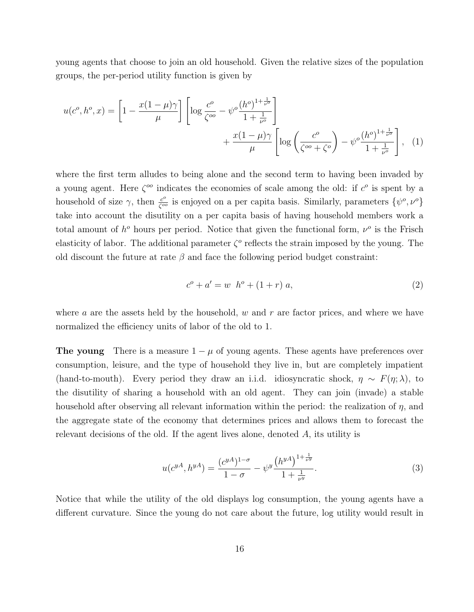young agents that choose to join an old household. Given the relative sizes of the population groups, the per-period utility function is given by

$$
u(c^{o}, h^{o}, x) = \left[1 - \frac{x(1 - \mu)\gamma}{\mu}\right] \left[\log \frac{c^{o}}{\zeta^{oo}} - \psi^{o} \frac{(h^{o})^{1 + \frac{1}{\nu^{o}}}}{1 + \frac{1}{\nu^{o}}}\right] + \frac{x(1 - \mu)\gamma}{\mu} \left[\log \left(\frac{c^{o}}{\zeta^{oo} + \zeta^{o}}\right) - \psi^{o} \frac{(h^{o})^{1 + \frac{1}{\nu^{o}}}}{1 + \frac{1}{\nu^{o}}}\right], (1)
$$

where the first term alludes to being alone and the second term to having been invaded by a young agent. Here  $\zeta^{oo}$  indicates the economies of scale among the old: if  $c^o$  is spent by a household of size  $\gamma$ , then  $\frac{c^o}{\sqrt{c^o}}$  $\frac{c^o}{\zeta^{oo}}$  is enjoyed on a per capita basis. Similarly, parameters  $\{\psi^o, \nu^o\}$ take into account the disutility on a per capita basis of having household members work a total amount of  $h^o$  hours per period. Notice that given the functional form,  $\nu^o$  is the Frisch elasticity of labor. The additional parameter  $\zeta^o$  reflects the strain imposed by the young. The old discount the future at rate  $\beta$  and face the following period budget constraint:

<span id="page-16-0"></span>
$$
c^{o} + a' = w \, h^{o} + (1+r) \, a,\tag{2}
$$

where *a* are the assets held by the household, *w* and *r* are factor prices, and where we have normalized the efficiency units of labor of the old to 1.

The young There is a measure 1 *− µ* of young agents. These agents have preferences over consumption, leisure, and the type of household they live in, but are completely impatient (hand-to-mouth). Every period they draw an i.i.d. idiosyncratic shock,  $\eta \sim F(\eta; \lambda)$ , to the disutility of sharing a household with an old agent. They can join (invade) a stable household after observing all relevant information within the period: the realization of *η*, and the aggregate state of the economy that determines prices and allows them to forecast the relevant decisions of the old. If the agent lives alone, denoted *A*, its utility is

$$
u(c^{yA}, h^{yA}) = \frac{(c^{yA})^{1-\sigma}}{1-\sigma} - \psi^y \frac{(h^{yA})^{1+\frac{1}{\nu^y}}}{1+\frac{1}{\nu^y}}.
$$
\n(3)

Notice that while the utility of the old displays log consumption, the young agents have a different curvature. Since the young do not care about the future, log utility would result in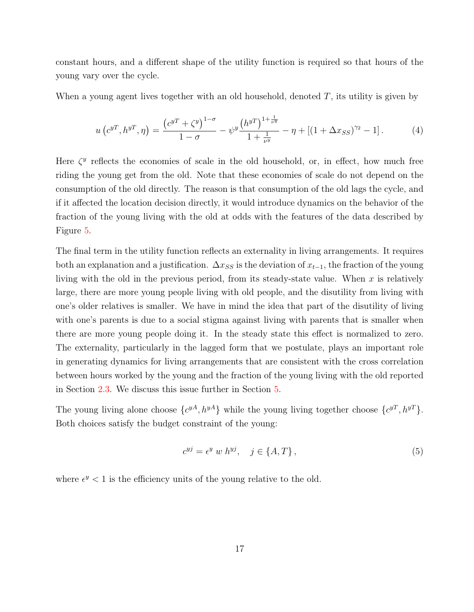constant hours, and a different shape of the utility function is required so that hours of the young vary over the cycle.

When a young agent lives together with an old household, denoted *T*, its utility is given by

<span id="page-17-0"></span>
$$
u\left(c^{yT}, h^{yT}, \eta\right) = \frac{\left(c^{yT} + \zeta^y\right)^{1-\sigma}}{1-\sigma} - \psi^y \frac{\left(h^{yT}\right)^{1+\frac{1}{\nu^y}}}{1+\frac{1}{\nu^y}} - \eta + \left[(1+\Delta x_{SS})^{\gamma^2} - 1\right].\tag{4}
$$

Here  $\zeta^y$  reflects the economies of scale in the old household, or, in effect, how much free riding the young get from the old. Note that these economies of scale do not depend on the consumption of the old directly. The reason is that consumption of the old lags the cycle, and if it affected the location decision directly, it would introduce dynamics on the behavior of the fraction of the young living with the old at odds with the features of the data described by Figure [5.](#page-13-2)

The final term in the utility function reflects an externality in living arrangements. It requires both an explanation and a justification.  $\Delta x_{SS}$  is the deviation of  $x_{t-1}$ , the fraction of the young living with the old in the previous period, from its steady-state value. When *x* is relatively large, there are more young people living with old people, and the disutility from living with one's older relatives is smaller. We have in mind the idea that part of the disutility of living with one's parents is due to a social stigma against living with parents that is smaller when there are more young people doing it. In the steady state this effect is normalized to zero. The externality, particularly in the lagged form that we postulate, plays an important role in generating dynamics for living arrangements that are consistent with the cross correlation between hours worked by the young and the fraction of the young living with the old reported in Section [2.3.](#page-10-3) We discuss this issue further in Section [5](#page-19-0).

The young living alone choose  $\{c^{yA}, h^{yA}\}\$  while the young living together choose  $\{c^{yT}, h^{yT}\}\$ . Both choices satisfy the budget constraint of the young:

$$
c^{yj} = \epsilon^y \ w \ h^{yj}, \quad j \in \{A, T\},\tag{5}
$$

where  $\epsilon^y$  < 1 is the efficiency units of the young relative to the old.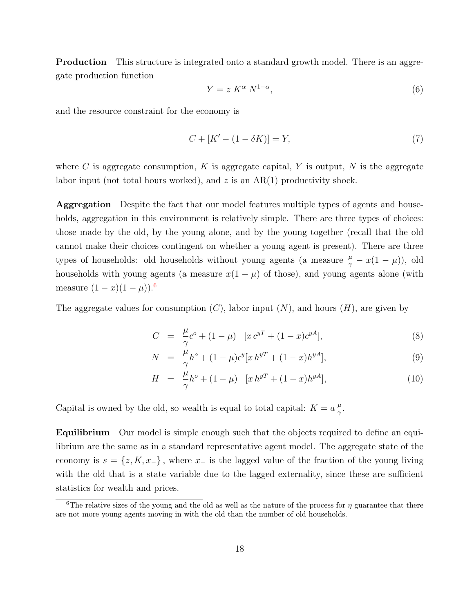**Production** This structure is integrated onto a standard growth model. There is an aggregate production function

$$
Y = z K^{\alpha} N^{1-\alpha}, \tag{6}
$$

and the resource constraint for the economy is

$$
C + [K' - (1 - \delta K)] = Y,
$$
\n(7)

where C is aggregate consumption,  $K$  is aggregate capital,  $Y$  is output,  $N$  is the aggregate labor input (not total hours worked), and  $z$  is an  $AR(1)$  productivity shock.

Aggregation Despite the fact that our model features multiple types of agents and households, aggregation in this environment is relatively simple. There are three types of choices: those made by the old, by the young alone, and by the young together (recall that the old cannot make their choices contingent on whether a young agent is present). There are three types of households: old households without young agents (a measure  $\frac{\mu}{\gamma} - x(1 - \mu)$ ), old households with young agents (a measure  $x(1 - \mu)$  of those), and young agents alone (with measure  $(1 − x)(1 − \mu)$ .<sup>[6](#page-18-0)</sup>

The aggregate values for consumption  $(C)$ , labor input  $(N)$ , and hours  $(H)$ , are given by

$$
C = \frac{\mu}{\gamma}c^o + (1 - \mu) \quad [x c^{yT} + (1 - x)c^{yA}], \tag{8}
$$

$$
N = \frac{\mu}{\gamma} h^o + (1 - \mu) \epsilon^y [x h^{y} + (1 - x) h^{y}], \tag{9}
$$

$$
H = \frac{\mu}{\gamma}h^o + (1 - \mu) \quad [x \, h^{y} + (1 - x)h^{y}]. \tag{10}
$$

Capital is owned by the old, so wealth is equal to total capital:  $K = a \frac{\mu}{\gamma}$ *γ* .

Equilibrium Our model is simple enough such that the objects required to define an equilibrium are the same as in a standard representative agent model. The aggregate state of the economy is  $s = \{z, K, x_{-}\}\$ , where  $x_{-}$  is the lagged value of the fraction of the young living with the old that is a state variable due to the lagged externality, since these are sufficient statistics for wealth and prices.

<span id="page-18-0"></span><sup>&</sup>lt;sup>6</sup>The relative sizes of the young and the old as well as the nature of the process for  $\eta$  guarantee that there are not more young agents moving in with the old than the number of old households.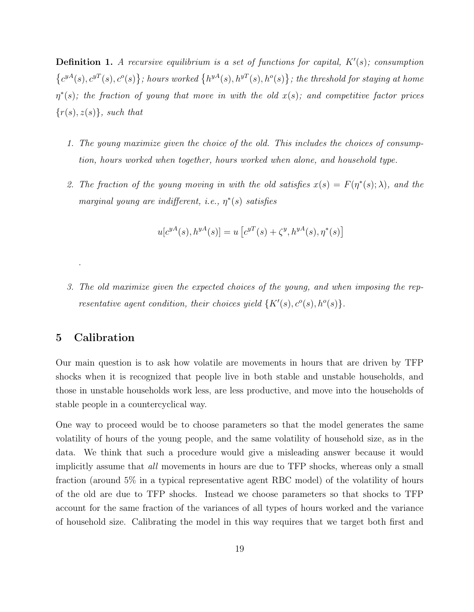**Definition 1.** A recursive equilibrium is a set of functions for capital,  $K'(s)$ ; consumption  $\{c^{yA}(s), c^{yT}(s), c^o(s)\}\;$ ; hours worked  $\{h^{yA}(s), h^{yT}(s), h^o(s)\}\;$ ; the threshold for staying at home *η ∗* (*s*)*; the fraction of young that move in with the old x*(*s*)*; and competitive factor prices {r*(*s*)*, z*(*s*)*}, such that*

- *1. The young maximize given the choice of the old. This includes the choices of consumption, hours worked when together, hours worked when alone, and household type.*
- 2. The fraction of the young moving in with the old satisfies  $x(s) = F(\eta^*(s); \lambda)$ , and the *marginal young are indifferent, i.e., η ∗* (*s*) *satisfies*

$$
u[c^{yA}(s), h^{yA}(s)] = u[c^{yT}(s) + \zeta^{y}, h^{yA}(s), \eta^{*}(s)]
$$

*3. The old maximize given the expected choices of the young, and when imposing the representative agent condition, their choices yield*  $\{K'(s), c^o(s), h^o(s)\}.$ 

## <span id="page-19-0"></span>5 Calibration

*.*

Our main question is to ask how volatile are movements in hours that are driven by TFP shocks when it is recognized that people live in both stable and unstable households, and those in unstable households work less, are less productive, and move into the households of stable people in a countercyclical way.

One way to proceed would be to choose parameters so that the model generates the same volatility of hours of the young people, and the same volatility of household size, as in the data. We think that such a procedure would give a misleading answer because it would implicitly assume that *all* movements in hours are due to TFP shocks, whereas only a small fraction (around 5% in a typical representative agent RBC model) of the volatility of hours of the old are due to TFP shocks. Instead we choose parameters so that shocks to TFP account for the same fraction of the variances of all types of hours worked and the variance of household size. Calibrating the model in this way requires that we target both first and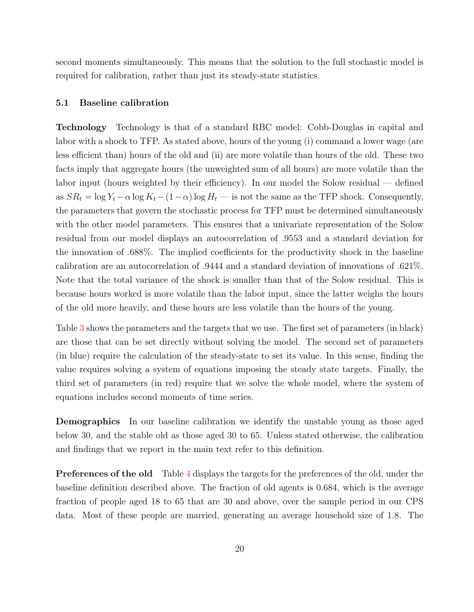second moments simultaneously. This means that the solution to the full stochastic model is required for calibration, rather than just its steady-state statistics.

#### 5.1 Baseline calibration

Technology Technology is that of a standard RBC model: Cobb-Douglas in capital and labor with a shock to TFP. As stated above, hours of the young (i) command a lower wage (are less efficient than) hours of the old and (ii) are more volatile than hours of the old. These two facts imply that aggregate hours (the unweighted sum of all hours) are more volatile than the labor input (hours weighted by their efficiency). In our model the Solow residual — defined as  $SR_t = \log Y_t - \alpha \log K_t - (1 - \alpha) \log H_t$  — is not the same as the TFP shock. Consequently, the parameters that govern the stochastic process for TFP must be determined simultaneously with the other model parameters. This ensures that a univariate representation of the Solow residual from our model displays an autocorrelation of .9553 and a standard deviation for the innovation of .688%. The implied coefficients for the productivity shock in the baseline calibration are an autocorrelation of .9444 and a standard deviation of innovations of .621%. Note that the total variance of the shock is smaller than that of the Solow residual. This is because hours worked is more volatile than the labor input, since the latter weighs the hours of the old more heavily, and these hours are less volatile than the hours of the young.

Table [3](#page-21-0) shows the parameters and the targets that we use. The first set of parameters (in black) are those that can be set directly without solving the model. The second set of parameters (in blue) require the calculation of the steady-state to set its value. In this sense, finding the value requires solving a system of equations imposing the steady state targets. Finally, the third set of parameters (in red) require that we solve the whole model, where the system of equations includes second moments of time series.

Demographics In our baseline calibration we identify the unstable young as those aged below 30, and the stable old as those aged 30 to 65. Unless stated otherwise, the calibration and findings that we report in the main text refer to this definition.

**Preferences of the old** Table [4](#page-22-0) displays the targets for the preferences of the old, under the baseline definition described above. The fraction of old agents is 0*.*684, which is the average fraction of people aged 18 to 65 that are 30 and above, over the sample period in our CPS data. Most of these people are married, generating an average household size of 1*.*8. The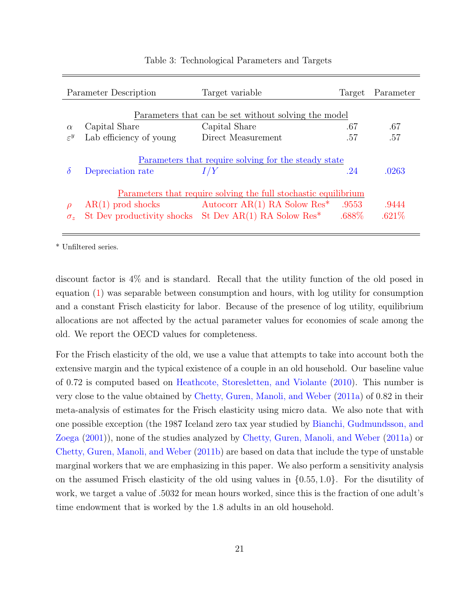<span id="page-21-0"></span>

|                   | Parameter Description   | Target variable                                                       | Target   | Parameter |
|-------------------|-------------------------|-----------------------------------------------------------------------|----------|-----------|
|                   |                         |                                                                       |          |           |
| $\alpha$          | Capital Share           | Parameters that can be set without solving the model<br>Capital Share | .67      | .67       |
| $\varepsilon^y$   | Lab efficiency of young | Direct Measurement                                                    | .57      | .57       |
|                   |                         |                                                                       |          |           |
|                   |                         | Parameters that require solving for the steady state                  |          |           |
| $\delta$          | Depreciation rate       | I/Y                                                                   | .24      | .0263     |
|                   |                         |                                                                       |          |           |
|                   |                         | Parameters that require solving the full stochastic equilibrium       |          |           |
| $\rho$            | $AR(1)$ prod shocks     | Autocorr AR(1) RA Solow Res <sup>*</sup>                              | .9553    | .9444     |
| $\sigma_{\gamma}$ |                         | St Dev productivity shocks St Dev $AR(1)$ RA Solow Res <sup>*</sup>   | $.688\%$ | .621%     |
|                   |                         |                                                                       |          |           |

## Table 3: Technological Parameters and Targets

\* Unfiltered series.

discount factor is 4% and is standard. Recall that the utility function of the old posed in equation [\(1](#page-16-0)) was separable between consumption and hours, with log utility for consumption and a constant Frisch elasticity for labor. Because of the presence of log utility, equilibrium allocations are not affected by the actual parameter values for economies of scale among the old. We report the OECD values for completeness.

For the Frisch elasticity of the old, we use a value that attempts to take into account both the extensive margin and the typical existence of a couple in an old household. Our baseline value of 0*.*72 is computed based on [Heathcote, Storesletten, and Violante](#page-36-8) ([2010](#page-36-8)). This number is very close to the value obtained by [Chetty, Guren, Manoli, and Weber](#page-36-0) ([2011a](#page-36-0)) of 0*.*82 in their meta-analysis of estimates for the Frisch elasticity using micro data. We also note that with one possible exception (the 1987 Iceland zero tax year studied by [Bianchi, Gudmundsson, and](#page-36-9) [Zoega](#page-36-9) [\(2001\)](#page-36-9)), none of the studies analyzed by [Chetty, Guren, Manoli, and Weber](#page-36-0) [\(2011a\)](#page-36-0) or [Chetty, Guren, Manoli, and Weber](#page-36-10) ([2011b\)](#page-36-10) are based on data that include the type of unstable marginal workers that we are emphasizing in this paper. We also perform a sensitivity analysis on the assumed Frisch elasticity of the old using values in *{*0*.*55*,* 1*.*0*}*. For the disutility of work, we target a value of *.*5032 for mean hours worked, since this is the fraction of one adult's time endowment that is worked by the 1*.*8 adults in an old household.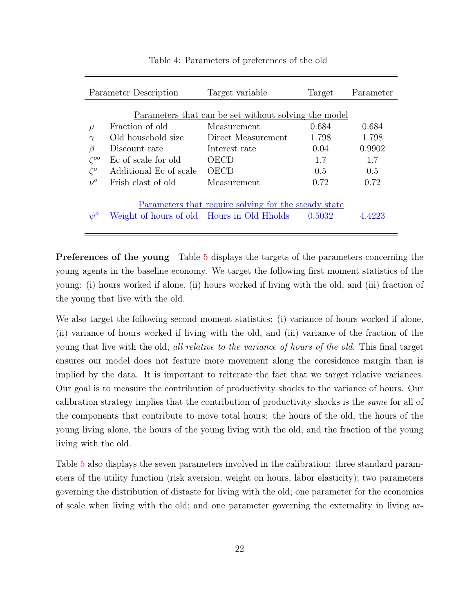<span id="page-22-0"></span>

|               | Parameter Description                      | Target variable                                      | Target | Parameter |
|---------------|--------------------------------------------|------------------------------------------------------|--------|-----------|
|               |                                            |                                                      |        |           |
|               |                                            | Parameters that can be set without solving the model |        |           |
| $\mu$         | Fraction of old                            | Measurement                                          | 0.684  | 0.684     |
| $\gamma$      | Old household size                         | Direct Measurement                                   | 1.798  | 1.798     |
| β             | Discount rate                              | Interest rate                                        | 0.04   | 0.9902    |
| $\zeta^{oo}$  | Ec of scale for old                        | OECD                                                 | 1.7    | 1.7       |
| $\zeta^o$     | Additional Ec of scale                     | OECD                                                 | 0.5    | 0.5       |
| $\nu^{\rm o}$ | Frish elast of old                         | Measurement                                          | 0.72   | 0.72      |
|               |                                            | Parameters that require solving for the steady state |        |           |
| $\eta^{0}$    | Weight of hours of old Hours in Old Hholds |                                                      | 0.5032 | 4993      |
|               |                                            |                                                      |        |           |

Table 4: Parameters of preferences of the old

Preferences of the young Table [5](#page-23-0) displays the targets of the parameters concerning the young agents in the baseline economy. We target the following first moment statistics of the young: (i) hours worked if alone, (ii) hours worked if living with the old, and (iii) fraction of the young that live with the old.

We also target the following second moment statistics: (i) variance of hours worked if alone, (ii) variance of hours worked if living with the old, and (iii) variance of the fraction of the young that live with the old, *all relative to the variance of hours of the old*. This final target ensures our model does not feature more movement along the coresidence margin than is implied by the data. It is important to reiterate the fact that we target relative variances. Our goal is to measure the contribution of productivity shocks to the variance of hours. Our calibration strategy implies that the contribution of productivity shocks is the *same* for all of the components that contribute to move total hours: the hours of the old, the hours of the young living alone, the hours of the young living with the old, and the fraction of the young living with the old.

Table [5](#page-23-0) also displays the seven parameters involved in the calibration: three standard parameters of the utility function (risk aversion, weight on hours, labor elasticity); two parameters governing the distribution of distaste for living with the old; one parameter for the economies of scale when living with the old; and one parameter governing the externality in living ar-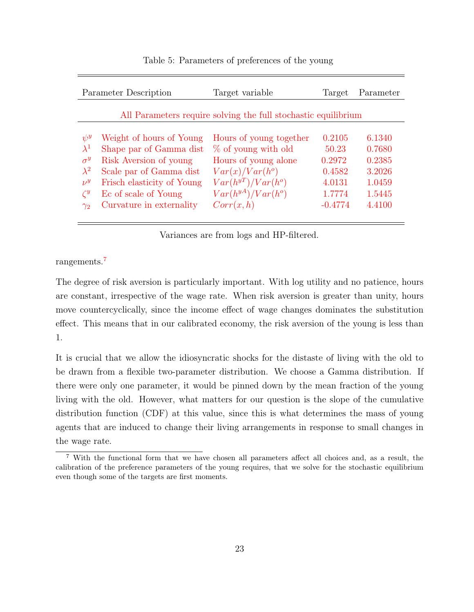<span id="page-23-0"></span>

| Parameter Description                                                                                                                                                                                                                                                                    | Target variable                                                                                                                                                 | Target                                                               | Parameter                                                          |
|------------------------------------------------------------------------------------------------------------------------------------------------------------------------------------------------------------------------------------------------------------------------------------------|-----------------------------------------------------------------------------------------------------------------------------------------------------------------|----------------------------------------------------------------------|--------------------------------------------------------------------|
|                                                                                                                                                                                                                                                                                          | All Parameters require solving the full stochastic equilibrium                                                                                                  |                                                                      |                                                                    |
| Weight of hours of Young<br>$\psi^y$<br>$\lambda^1$<br>Shape par of Gamma dist<br>Risk Aversion of young<br>$\sigma^y$<br>$\lambda^2$<br>Scale par of Gamma dist<br>Frisch elasticity of Young<br>$\nu^y$<br>$\zeta^y$<br>Ec of scale of Young<br>Curvature in externality<br>$\gamma_2$ | Hours of young together<br>% of young with old<br>Hours of young alone<br>$Var(x)/Var(h^o)$<br>$Var(h^{yT})/Var(h^{o})$<br>$Var(h^{yA})/Var(h^o)$<br>Corr(x, h) | 0.2105<br>50.23<br>0.2972<br>0.4582<br>4.0131<br>1.7774<br>$-0.4774$ | 6.1340<br>0.7680<br>0.2385<br>3.2026<br>1.0459<br>1.5445<br>4.4100 |

Table 5: Parameters of preferences of the young

Variances are from logs and HP-filtered.

rangements.[7](#page-23-1)

The degree of risk aversion is particularly important. With log utility and no patience, hours are constant, irrespective of the wage rate. When risk aversion is greater than unity, hours move countercyclically, since the income effect of wage changes dominates the substitution effect. This means that in our calibrated economy, the risk aversion of the young is less than 1.

It is crucial that we allow the idiosyncratic shocks for the distaste of living with the old to be drawn from a flexible two-parameter distribution. We choose a Gamma distribution. If there were only one parameter, it would be pinned down by the mean fraction of the young living with the old. However, what matters for our question is the slope of the cumulative distribution function (CDF) at this value, since this is what determines the mass of young agents that are induced to change their living arrangements in response to small changes in the wage rate.

<span id="page-23-1"></span><sup>7</sup> With the functional form that we have chosen all parameters affect all choices and, as a result, the calibration of the preference parameters of the young requires, that we solve for the stochastic equilibrium even though some of the targets are first moments.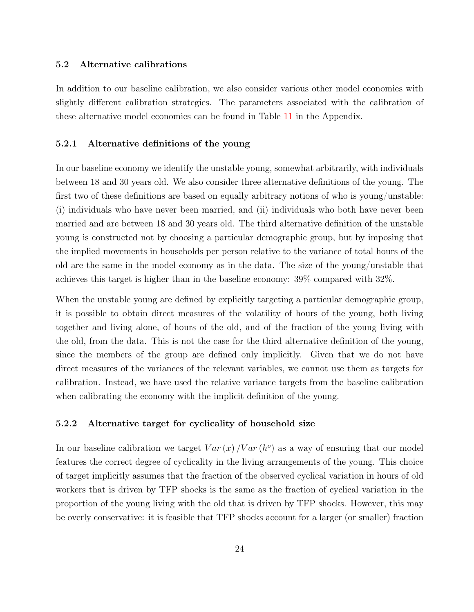#### 5.2 Alternative calibrations

In addition to our baseline calibration, we also consider various other model economies with slightly different calibration strategies. The parameters associated with the calibration of these alternative model economies can be found in Table [11](#page-38-0) in the Appendix.

#### 5.2.1 Alternative definitions of the young

In our baseline economy we identify the unstable young, somewhat arbitrarily, with individuals between 18 and 30 years old. We also consider three alternative definitions of the young. The first two of these definitions are based on equally arbitrary notions of who is young/unstable: (i) individuals who have never been married, and (ii) individuals who both have never been married and are between 18 and 30 years old. The third alternative definition of the unstable young is constructed not by choosing a particular demographic group, but by imposing that the implied movements in households per person relative to the variance of total hours of the old are the same in the model economy as in the data. The size of the young/unstable that achieves this target is higher than in the baseline economy: 39% compared with 32%.

When the unstable young are defined by explicitly targeting a particular demographic group, it is possible to obtain direct measures of the volatility of hours of the young, both living together and living alone, of hours of the old, and of the fraction of the young living with the old, from the data. This is not the case for the third alternative definition of the young, since the members of the group are defined only implicitly. Given that we do not have direct measures of the variances of the relevant variables, we cannot use them as targets for calibration. Instead, we have used the relative variance targets from the baseline calibration when calibrating the economy with the implicit definition of the young.

#### <span id="page-24-0"></span>5.2.2 Alternative target for cyclicality of household size

In our baseline calibration we target  $Var(x)/Var(h^o)$  as a way of ensuring that our model features the correct degree of cyclicality in the living arrangements of the young. This choice of target implicitly assumes that the fraction of the observed cyclical variation in hours of old workers that is driven by TFP shocks is the same as the fraction of cyclical variation in the proportion of the young living with the old that is driven by TFP shocks. However, this may be overly conservative: it is feasible that TFP shocks account for a larger (or smaller) fraction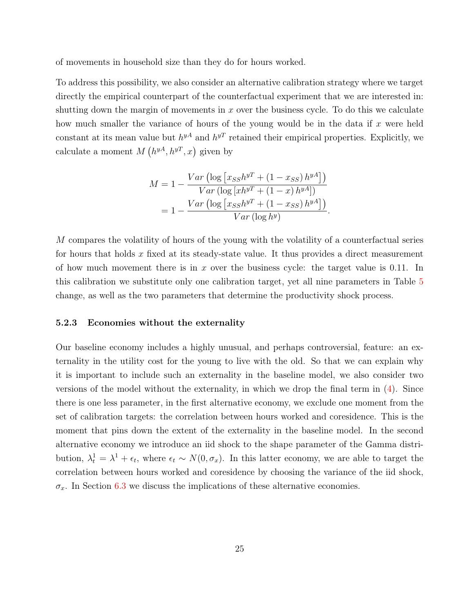of movements in household size than they do for hours worked.

To address this possibility, we also consider an alternative calibration strategy where we target directly the empirical counterpart of the counterfactual experiment that we are interested in: shutting down the margin of movements in *x* over the business cycle. To do this we calculate how much smaller the variance of hours of the young would be in the data if *x* were held constant at its mean value but  $h^{yA}$  and  $h^{yT}$  retained their empirical properties. Explicitly, we calculate a moment  $M(h^{yA}, h^{yT}, x)$  given by

$$
M = 1 - \frac{Var\left(\log\left[x_{SS}h^{y} + (1 - x_{SS})h^{y}A\right]\right)}{Var\left(\log\left[xh^{y} + (1 - x)h^{y}A\right]\right)}
$$

$$
= 1 - \frac{Var\left(\log\left[x_{SS}h^{y} + (1 - x_{SS})h^{y}A\right]\right)}{Var\left(\log h^{y}\right)}.
$$

*M* compares the volatility of hours of the young with the volatility of a counterfactual series for hours that holds *x* fixed at its steady-state value. It thus provides a direct measurement of how much movement there is in *x* over the business cycle: the target value is 0*.*11. In this calibration we substitute only one calibration target, yet all nine parameters in Table [5](#page-23-0) change, as well as the two parameters that determine the productivity shock process.

#### 5.2.3 Economies without the externality

<span id="page-25-0"></span>Our baseline economy includes a highly unusual, and perhaps controversial, feature: an externality in the utility cost for the young to live with the old. So that we can explain why it is important to include such an externality in the baseline model, we also consider two versions of the model without the externality, in which we drop the final term in ([4](#page-17-0)). Since there is one less parameter, in the first alternative economy, we exclude one moment from the set of calibration targets: the correlation between hours worked and coresidence. This is the moment that pins down the extent of the externality in the baseline model. In the second alternative economy we introduce an iid shock to the shape parameter of the Gamma distribution,  $\lambda_t^1 = \lambda^1 + \epsilon_t$ , where  $\epsilon_t \sim N(0, \sigma_x)$ . In this latter economy, we are able to target the correlation between hours worked and coresidence by choosing the variance of the iid shock,  $\sigma_x$ . In Section [6.3](#page-29-0) we discuss the implications of these alternative economies.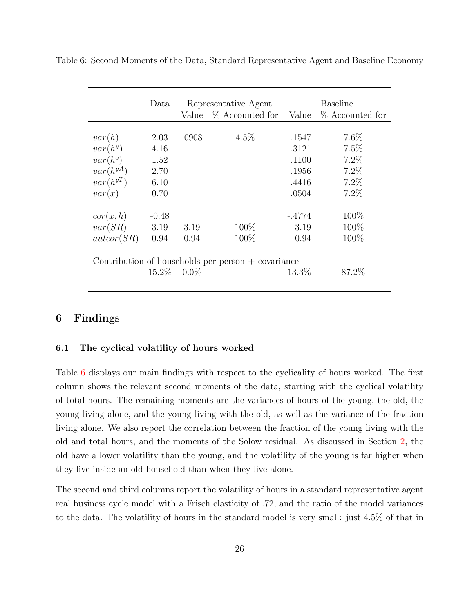|               |          |         | Representative Agent                                 |          | <b>Baseline</b> |
|---------------|----------|---------|------------------------------------------------------|----------|-----------------|
|               |          | Value   | % Accounted for                                      | Value    | % Accounted for |
|               |          |         |                                                      |          |                 |
| var(h)        | 2.03     | .0908   | $4.5\%$                                              | .1547    | $7.6\%$         |
| $var(h^y)$    | 4.16     |         |                                                      | .3121    | 7.5%            |
| $var(h^o)$    | 1.52     |         |                                                      | .1100    | 7.2%            |
| $var(h^{yA})$ | 2.70     |         |                                                      | .1956    | 7.2%            |
| $var(h^{yT})$ | 6.10     |         |                                                      | .4416    | 7.2%            |
| var(x)        | 0.70     |         |                                                      | .0504    | 7.2%            |
| cor(x, h)     | $-0.48$  |         |                                                      | $-.4774$ | 100\%           |
| var(SR)       | 3.19     | 3.19    | $100\%$                                              | 3.19     | 100\%           |
| $\arctan(SR)$ | 0.94     | 0.94    | 100\%                                                | 0.94     | 100%            |
|               |          |         | Contribution of households per person $+$ covariance |          |                 |
|               | $15.2\%$ | $0.0\%$ |                                                      | $13.3\%$ | 87.2\%          |

<span id="page-26-0"></span>Table 6: Second Moments of the Data, Standard Representative Agent and Baseline Economy

## 6 Findings

#### 6.1 The cyclical volatility of hours worked

Table [6](#page-26-0) displays our main findings with respect to the cyclicality of hours worked. The first column shows the relevant second moments of the data, starting with the cyclical volatility of total hours. The remaining moments are the variances of hours of the young, the old, the young living alone, and the young living with the old, as well as the variance of the fraction living alone. We also report the correlation between the fraction of the young living with the old and total hours, and the moments of the Solow residual. As discussed in Section [2](#page-6-0), the old have a lower volatility than the young, and the volatility of the young is far higher when they live inside an old household than when they live alone.

The second and third columns report the volatility of hours in a standard representative agent real business cycle model with a Frisch elasticity of *.*72, and the ratio of the model variances to the data. The volatility of hours in the standard model is very small: just 4*.*5% of that in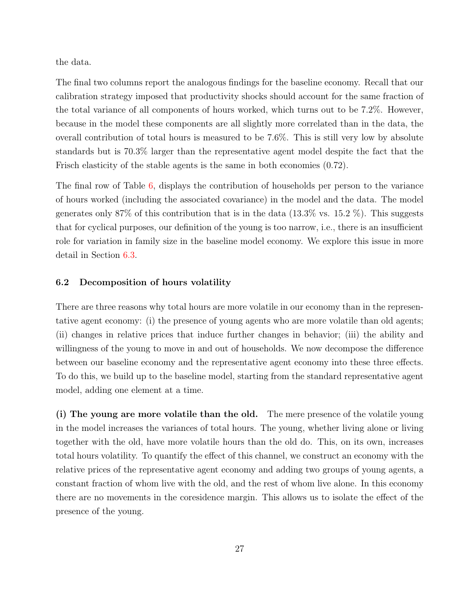the data.

The final two columns report the analogous findings for the baseline economy. Recall that our calibration strategy imposed that productivity shocks should account for the same fraction of the total variance of all components of hours worked, which turns out to be 7.2%. However, because in the model these components are all slightly more correlated than in the data, the overall contribution of total hours is measured to be 7.6%. This is still very low by absolute standards but is 70.3% larger than the representative agent model despite the fact that the Frisch elasticity of the stable agents is the same in both economies (0.72).

The final row of Table [6,](#page-26-0) displays the contribution of households per person to the variance of hours worked (including the associated covariance) in the model and the data. The model generates only 87% of this contribution that is in the data  $(13.3\% \text{ vs. } 15.2 \%)$ . This suggests that for cyclical purposes, our definition of the young is too narrow, i.e., there is an insufficient role for variation in family size in the baseline model economy. We explore this issue in more detail in Section [6.3](#page-29-0).

#### 6.2 Decomposition of hours volatility

There are three reasons why total hours are more volatile in our economy than in the representative agent economy: (i) the presence of young agents who are more volatile than old agents; (ii) changes in relative prices that induce further changes in behavior; (iii) the ability and willingness of the young to move in and out of households. We now decompose the difference between our baseline economy and the representative agent economy into these three effects. To do this, we build up to the baseline model, starting from the standard representative agent model, adding one element at a time.

(i) The young are more volatile than the old. The mere presence of the volatile young in the model increases the variances of total hours. The young, whether living alone or living together with the old, have more volatile hours than the old do. This, on its own, increases total hours volatility. To quantify the effect of this channel, we construct an economy with the relative prices of the representative agent economy and adding two groups of young agents, a constant fraction of whom live with the old, and the rest of whom live alone. In this economy there are no movements in the coresidence margin. This allows us to isolate the effect of the presence of the young.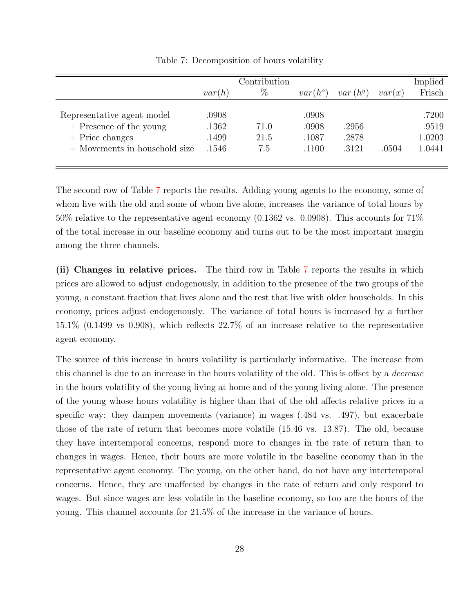<span id="page-28-0"></span>

|                               |        | Contribution |            |            |        | Implied |
|-------------------------------|--------|--------------|------------|------------|--------|---------|
|                               | var(h) | $\%$         | $var(h^o)$ | $var(h^y)$ | var(x) | Frisch  |
|                               |        |              |            |            |        |         |
| Representative agent model    | .0908  |              | .0908      |            |        | .7200   |
| $+$ Presence of the young     | .1362  | 71.0         | .0908      | .2956      |        | .9519   |
| $+$ Price changes             | .1499  | 21.5         | .1087      | .2878      |        | 1.0203  |
| + Movements in household size | .1546  | 7.5          | .1100      | .3121      | .0504  | 1.0441  |
|                               |        |              |            |            |        |         |

Table 7: Decomposition of hours volatility

The second row of Table [7](#page-28-0) reports the results. Adding young agents to the economy, some of whom live with the old and some of whom live alone, increases the variance of total hours by 50% relative to the representative agent economy (0.1362 vs. 0.0908). This accounts for 71% of the total increase in our baseline economy and turns out to be the most important margin among the three channels.

(ii) Changes in relative prices. The third row in Table [7](#page-28-0) reports the results in which prices are allowed to adjust endogenously, in addition to the presence of the two groups of the young, a constant fraction that lives alone and the rest that live with older households. In this economy, prices adjust endogenously. The variance of total hours is increased by a further 15.1% (0.1499 vs 0.908), which reflects 22.7% of an increase relative to the representative agent economy.

The source of this increase in hours volatility is particularly informative. The increase from this channel is due to an increase in the hours volatility of the old. This is offset by a *decrease* in the hours volatility of the young living at home and of the young living alone. The presence of the young whose hours volatility is higher than that of the old affects relative prices in a specific way: they dampen movements (variance) in wages (.484 vs. .497), but exacerbate those of the rate of return that becomes more volatile (15.46 vs. 13.87). The old, because they have intertemporal concerns, respond more to changes in the rate of return than to changes in wages. Hence, their hours are more volatile in the baseline economy than in the representative agent economy. The young, on the other hand, do not have any intertemporal concerns. Hence, they are unaffected by changes in the rate of return and only respond to wages. But since wages are less volatile in the baseline economy, so too are the hours of the young. This channel accounts for 21.5% of the increase in the variance of hours.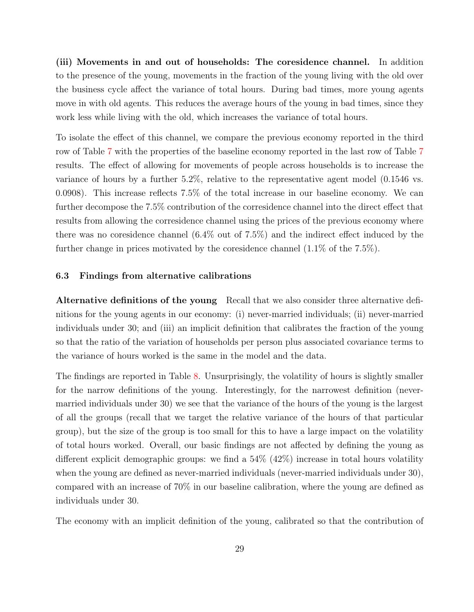(iii) Movements in and out of households: The coresidence channel. In addition to the presence of the young, movements in the fraction of the young living with the old over the business cycle affect the variance of total hours. During bad times, more young agents move in with old agents. This reduces the average hours of the young in bad times, since they work less while living with the old, which increases the variance of total hours.

To isolate the effect of this channel, we compare the previous economy reported in the third row of Table [7](#page-28-0) with the properties of the baseline economy reported in the last row of Table [7](#page-28-0) results. The effect of allowing for movements of people across households is to increase the variance of hours by a further 5.2%, relative to the representative agent model (0.1546 vs. 0.0908). This increase reflects 7.5% of the total increase in our baseline economy. We can further decompose the 7.5% contribution of the corresidence channel into the direct effect that results from allowing the corresidence channel using the prices of the previous economy where there was no coresidence channel (6.4% out of 7.5%) and the indirect effect induced by the further change in prices motivated by the coresidence channel (1.1% of the 7.5%).

#### <span id="page-29-0"></span>6.3 Findings from alternative calibrations

Alternative definitions of the young Recall that we also consider three alternative definitions for the young agents in our economy: (i) never-married individuals; (ii) never-married individuals under 30; and (iii) an implicit definition that calibrates the fraction of the young so that the ratio of the variation of households per person plus associated covariance terms to the variance of hours worked is the same in the model and the data.

The findings are reported in Table [8.](#page-30-0) Unsurprisingly, the volatility of hours is slightly smaller for the narrow definitions of the young. Interestingly, for the narrowest definition (nevermarried individuals under 30) we see that the variance of the hours of the young is the largest of all the groups (recall that we target the relative variance of the hours of that particular group), but the size of the group is too small for this to have a large impact on the volatility of total hours worked. Overall, our basic findings are not affected by defining the young as different explicit demographic groups: we find a  $54\%$  ( $42\%$ ) increase in total hours volatility when the young are defined as never-married individuals (never-married individuals under 30), compared with an increase of 70% in our baseline calibration, where the young are defined as individuals under 30.

The economy with an implicit definition of the young, calibrated so that the contribution of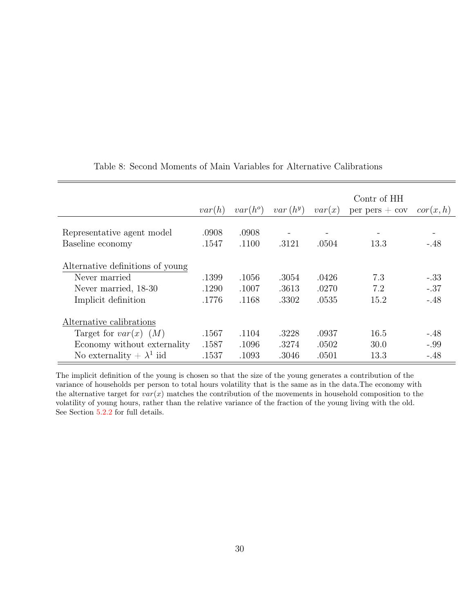<span id="page-30-0"></span>

|                                                                                                  |                         |                         |                         |                         | Contr of HH        |                            |
|--------------------------------------------------------------------------------------------------|-------------------------|-------------------------|-------------------------|-------------------------|--------------------|----------------------------|
|                                                                                                  | var(h)                  | $var(h^o)$              | $var(h^y)$              | var(x)                  | $per$ pers $+$ cov | cor(x, h)                  |
| Representative agent model                                                                       | .0908                   | .0908                   |                         |                         |                    |                            |
| Baseline economy                                                                                 | .1547                   | .1100                   | .3121                   | .0504                   | 13.3               | $-.48$                     |
| Alternative definitions of young<br>Never married<br>Never married, 18-30<br>Implicit definition | .1399<br>.1290<br>.1776 | .1056<br>.1007<br>.1168 | .3054<br>.3613<br>.3302 | .0426<br>.0270<br>.0535 | 7.3<br>7.2<br>15.2 | $-.33$<br>$-.37$<br>$-.48$ |
| Alternative calibrations                                                                         |                         |                         |                         |                         |                    |                            |
| Target for $var(x)$ $(M)$                                                                        | .1567                   | .1104                   | .3228                   | .0937                   | 16.5               | $-.48$                     |
| Economy without externality                                                                      | .1587                   | .1096                   | .3274                   | .0502                   | 30.0               | $-.99$                     |
| No externality $+ \lambda^1$ iid                                                                 | .1537                   | .1093                   | .3046                   | .0501                   | 13.3               | $-.48$                     |

## Table 8: Second Moments of Main Variables for Alternative Calibrations

The implicit definition of the young is chosen so that the size of the young generates a contribution of the variance of households per person to total hours volatility that is the same as in the data.The economy with the alternative target for *var*(*x*) matches the contribution of the movements in household composition to the volatility of young hours, rather than the relative variance of the fraction of the young living with the old. See Section [5.2.2](#page-24-0) for full details.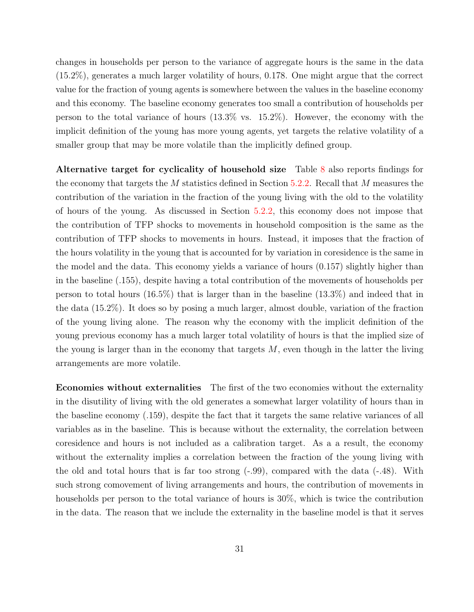changes in households per person to the variance of aggregate hours is the same in the data (15*.*2%), generates a much larger volatility of hours, 0.178. One might argue that the correct value for the fraction of young agents is somewhere between the values in the baseline economy and this economy. The baseline economy generates too small a contribution of households per person to the total variance of hours (13.3% vs. 15.2%). However, the economy with the implicit definition of the young has more young agents, yet targets the relative volatility of a smaller group that may be more volatile than the implicitly defined group.

Alternative target for cyclicality of household size Table [8](#page-30-0) also reports findings for the economy that targets the *M* statistics defined in Section [5.2.2](#page-24-0). Recall that *M* measures the contribution of the variation in the fraction of the young living with the old to the volatility of hours of the young. As discussed in Section [5.2.2](#page-24-0), this economy does not impose that the contribution of TFP shocks to movements in household composition is the same as the contribution of TFP shocks to movements in hours. Instead, it imposes that the fraction of the hours volatility in the young that is accounted for by variation in coresidence is the same in the model and the data. This economy yields a variance of hours (0.157) slightly higher than in the baseline (.155), despite having a total contribution of the movements of households per person to total hours (16.5%) that is larger than in the baseline (13.3%) and indeed that in the data (15.2%). It does so by posing a much larger, almost double, variation of the fraction of the young living alone. The reason why the economy with the implicit definition of the young previous economy has a much larger total volatility of hours is that the implied size of the young is larger than in the economy that targets *M*, even though in the latter the living arrangements are more volatile.

Economies without externalities The first of the two economies without the externality in the disutility of living with the old generates a somewhat larger volatility of hours than in the baseline economy (.159), despite the fact that it targets the same relative variances of all variables as in the baseline. This is because without the externality, the correlation between coresidence and hours is not included as a calibration target. As a a result, the economy without the externality implies a correlation between the fraction of the young living with the old and total hours that is far too strong (-.99), compared with the data (-.48). With such strong comovement of living arrangements and hours, the contribution of movements in households per person to the total variance of hours is 30%, which is twice the contribution in the data. The reason that we include the externality in the baseline model is that it serves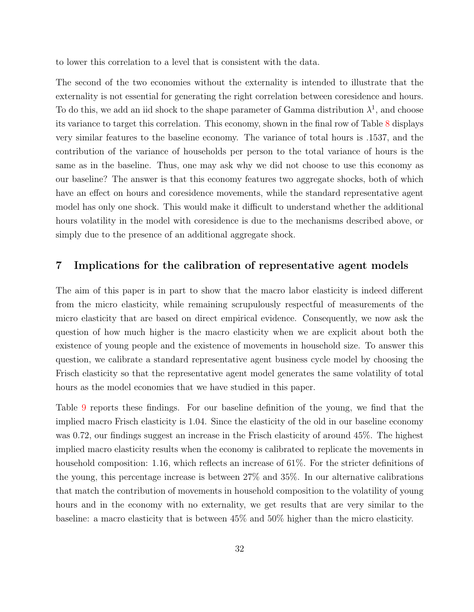to lower this correlation to a level that is consistent with the data.

The second of the two economies without the externality is intended to illustrate that the externality is not essential for generating the right correlation between coresidence and hours. To do this, we add an iid shock to the shape parameter of Gamma distribution  $\lambda^1$ , and choose its variance to target this correlation. This economy, shown in the final row of Table [8](#page-30-0) displays very similar features to the baseline economy. The variance of total hours is .1537, and the contribution of the variance of households per person to the total variance of hours is the same as in the baseline. Thus, one may ask why we did not choose to use this economy as our baseline? The answer is that this economy features two aggregate shocks, both of which have an effect on hours and coresidence movements, while the standard representative agent model has only one shock. This would make it difficult to understand whether the additional hours volatility in the model with coresidence is due to the mechanisms described above, or simply due to the presence of an additional aggregate shock.

## <span id="page-32-0"></span>7 Implications for the calibration of representative agent models

The aim of this paper is in part to show that the macro labor elasticity is indeed different from the micro elasticity, while remaining scrupulously respectful of measurements of the micro elasticity that are based on direct empirical evidence. Consequently, we now ask the question of how much higher is the macro elasticity when we are explicit about both the existence of young people and the existence of movements in household size. To answer this question, we calibrate a standard representative agent business cycle model by choosing the Frisch elasticity so that the representative agent model generates the same volatility of total hours as the model economies that we have studied in this paper.

Table [9](#page-33-0) reports these findings. For our baseline definition of the young, we find that the implied macro Frisch elasticity is 1*.*04. Since the elasticity of the old in our baseline economy was 0.72, our findings suggest an increase in the Frisch elasticity of around 45%. The highest implied macro elasticity results when the economy is calibrated to replicate the movements in household composition: 1.16, which reflects an increase of 61%. For the stricter definitions of the young, this percentage increase is between 27% and 35%. In our alternative calibrations that match the contribution of movements in household composition to the volatility of young hours and in the economy with no externality, we get results that are very similar to the baseline: a macro elasticity that is between 45% and 50% higher than the micro elasticity.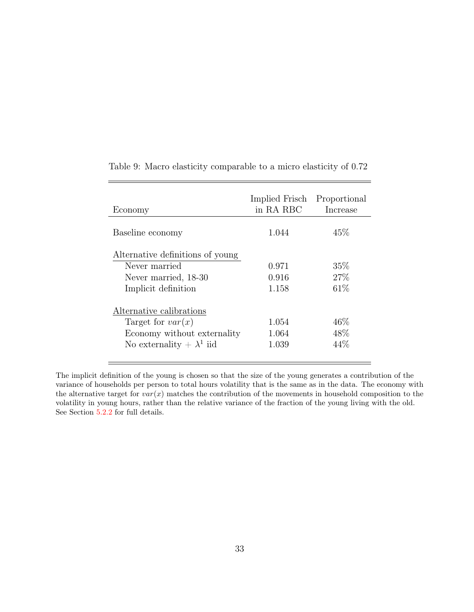| Economy                          | Implied Frisch<br>in RA RBC | Proportional<br>Increase |
|----------------------------------|-----------------------------|--------------------------|
| Baseline economy                 | 1.044                       | 45\%                     |
| Alternative definitions of young |                             |                          |
| Never married                    | 0.971                       | 35%                      |
| Never married, 18-30             | 0.916                       | 27\%                     |
| Implicit definition              | 1.158                       | 61\%                     |
| Alternative calibrations         |                             |                          |
| Target for $var(x)$              | 1.054                       | 46%                      |
| Economy without externality      | 1.064                       | 48\%                     |
| No externality $+ \lambda^1$ iid | 1.039                       | 44%                      |

<span id="page-33-0"></span>Table 9: Macro elasticity comparable to a micro elasticity of 0.72

 $\equiv$ 

The implicit definition of the young is chosen so that the size of the young generates a contribution of the variance of households per person to total hours volatility that is the same as in the data. The economy with the alternative target for *var*(*x*) matches the contribution of the movements in household composition to the volatility in young hours, rather than the relative variance of the fraction of the young living with the old. See Section [5.2.2](#page-24-0) for full details.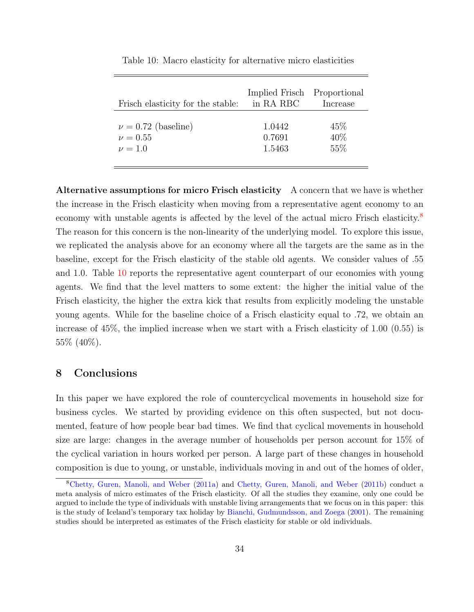<span id="page-34-2"></span>

| Frisch elasticity for the stable: | Implied Frisch<br>in RA RBC | Proportional<br>Increase |
|-----------------------------------|-----------------------------|--------------------------|
| $\nu = 0.72$ (baseline)           | 1.0442                      | $45\%$                   |
| $\nu = 0.55$                      | 0.7691                      | 40%                      |
| $\nu = 1.0$                       | 1.5463                      | 55%                      |

Table 10: Macro elasticity for alternative micro elasticities

Alternative assumptions for micro Frisch elasticity A concern that we have is whether the increase in the Frisch elasticity when moving from a representative agent economy to an economy with unstable agents is affected by the level of the actual micro Frisch elasticity.<sup>[8](#page-34-1)</sup> The reason for this concern is the non-linearity of the underlying model. To explore this issue, we replicated the analysis above for an economy where all the targets are the same as in the baseline, except for the Frisch elasticity of the stable old agents. We consider values of .55 and 1.0. Table [10](#page-34-2) reports the representative agent counterpart of our economies with young agents. We find that the level matters to some extent: the higher the initial value of the Frisch elasticity, the higher the extra kick that results from explicitly modeling the unstable young agents. While for the baseline choice of a Frisch elasticity equal to .72, we obtain an increase of 45%, the implied increase when we start with a Frisch elasticity of 1.00 (0.55) is 55% (40%).

## <span id="page-34-0"></span>8 Conclusions

In this paper we have explored the role of countercyclical movements in household size for business cycles. We started by providing evidence on this often suspected, but not documented, feature of how people bear bad times. We find that cyclical movements in household size are large: changes in the average number of households per person account for 15% of the cyclical variation in hours worked per person. A large part of these changes in household composition is due to young, or unstable, individuals moving in and out of the homes of older,

<span id="page-34-1"></span><sup>8</sup>[Chetty, Guren, Manoli, and Weber](#page-36-0) ([2011a\)](#page-36-0) and [Chetty, Guren, Manoli, and Weber](#page-36-10) [\(2011b\)](#page-36-10) conduct a meta analysis of micro estimates of the Frisch elasticity. Of all the studies they examine, only one could be argued to include the type of individuals with unstable living arrangements that we focus on in this paper: this is the study of Iceland's temporary tax holiday by [Bianchi, Gudmundsson, and Zoega](#page-36-9) ([2001\)](#page-36-9). The remaining studies should be interpreted as estimates of the Frisch elasticity for stable or old individuals.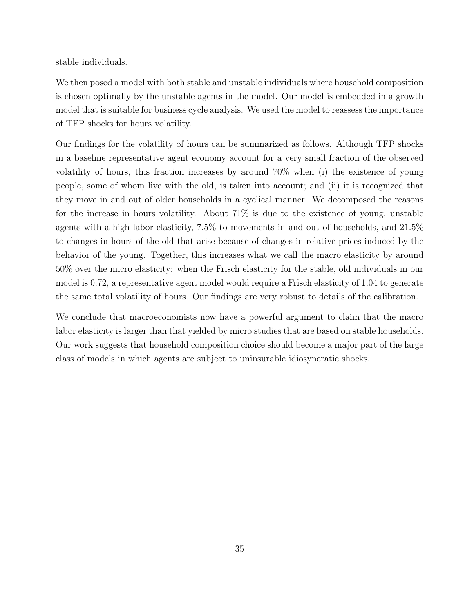stable individuals.

We then posed a model with both stable and unstable individuals where household composition is chosen optimally by the unstable agents in the model. Our model is embedded in a growth model that is suitable for business cycle analysis. We used the model to reassess the importance of TFP shocks for hours volatility.

Our findings for the volatility of hours can be summarized as follows. Although TFP shocks in a baseline representative agent economy account for a very small fraction of the observed volatility of hours, this fraction increases by around 70% when (i) the existence of young people, some of whom live with the old, is taken into account; and (ii) it is recognized that they move in and out of older households in a cyclical manner. We decomposed the reasons for the increase in hours volatility. About 71% is due to the existence of young, unstable agents with a high labor elasticity, 7.5% to movements in and out of households, and 21.5% to changes in hours of the old that arise because of changes in relative prices induced by the behavior of the young. Together, this increases what we call the macro elasticity by around 50% over the micro elasticity: when the Frisch elasticity for the stable, old individuals in our model is 0.72, a representative agent model would require a Frisch elasticity of 1.04 to generate the same total volatility of hours. Our findings are very robust to details of the calibration.

We conclude that macroeconomists now have a powerful argument to claim that the macro labor elasticity is larger than that yielded by micro studies that are based on stable households. Our work suggests that household composition choice should become a major part of the large class of models in which agents are subject to uninsurable idiosyncratic shocks.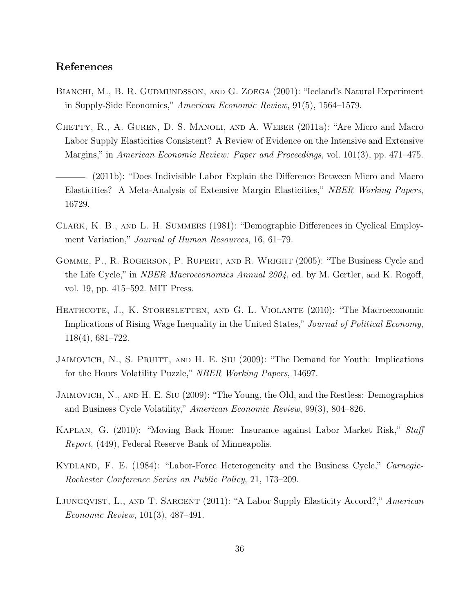## References

- <span id="page-36-9"></span>BIANCHI, M., B. R. GUDMUNDSSON, AND G. ZOEGA (2001): "Iceland's Natural Experiment in Supply-Side Economics," *American Economic Review*, 91(5), 1564–1579.
- <span id="page-36-0"></span>CHETTY, R., A. GUREN, D. S. MANOLI, AND A. WEBER (2011a): "Are Micro and Macro Labor Supply Elasticities Consistent? A Review of Evidence on the Intensive and Extensive Margins," in *American Economic Review: Paper and Proceedings*, vol. 101(3), pp. 471–475.
- <span id="page-36-10"></span>(2011b): "Does Indivisible Labor Explain the Difference Between Micro and Macro Elasticities? A Meta-Analysis of Extensive Margin Elasticities," *NBER Working Papers*, 16729.
- <span id="page-36-2"></span>CLARK, K. B., AND L. H. SUMMERS (1981): "Demographic Differences in Cyclical Employment Variation," *Journal of Human Resources*, 16, 61–79.
- <span id="page-36-4"></span>Gomme, P., R. Rogerson, P. Rupert, and R. Wright (2005): "The Business Cycle and the Life Cycle," in *NBER Macroeconomics Annual 2004*, ed. by M. Gertler, and K. Rogoff, vol. 19, pp. 415–592. MIT Press.
- <span id="page-36-8"></span>HEATHCOTE, J., K. STORESLETTEN, AND G. L. VIOLANTE (2010): "The Macroeconomic Implications of Rising Wage Inequality in the United States," *Journal of Political Economy*, 118(4), 681–722.
- <span id="page-36-6"></span>JAIMOVICH, N., S. PRUITT, AND H. E. SIU (2009): "The Demand for Youth: Implications for the Hours Volatility Puzzle," *NBER Working Papers*, 14697.
- <span id="page-36-5"></span>Jaimovich, N., and H. E. Siu (2009): "The Young, the Old, and the Restless: Demographics and Business Cycle Volatility," *American Economic Review*, 99(3), 804–826.
- <span id="page-36-7"></span>Kaplan, G. (2010): "Moving Back Home: Insurance against Labor Market Risk," *Staff Report*, (449), Federal Reserve Bank of Minneapolis.
- <span id="page-36-3"></span>Kydland, F. E. (1984): "Labor-Force Heterogeneity and the Business Cycle," *Carnegie-Rochester Conference Series on Public Policy*, 21, 173–209.
- <span id="page-36-1"></span>Ljungqvist, L., and T. Sargent (2011): "A Labor Supply Elasticity Accord?," *American Economic Review*, 101(3), 487–491.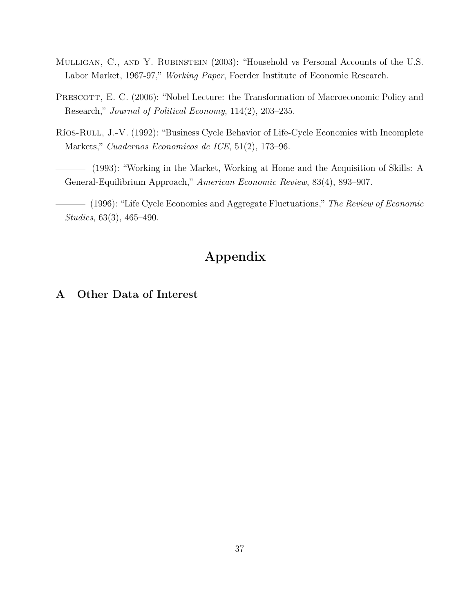- <span id="page-37-4"></span>Mulligan, C., and Y. Rubinstein (2003): "Household vs Personal Accounts of the U.S. Labor Market, 1967-97," *Working Paper*, Foerder Institute of Economic Research.
- <span id="page-37-0"></span>PRESCOTT, E. C. (2006): "Nobel Lecture: the Transformation of Macroeconomic Policy and Research," *Journal of Political Economy*, 114(2), 203–235.
- <span id="page-37-1"></span>Ríos-Rull, J.-V. (1992): "Business Cycle Behavior of Life-Cycle Economies with Incomplete Markets," *Cuadernos Economicos de ICE*, 51(2), 173–96.
- <span id="page-37-2"></span>(1993): "Working in the Market, Working at Home and the Acquisition of Skills: A General-Equilibrium Approach," *American Economic Review*, 83(4), 893–907.

<span id="page-37-3"></span>(1996): "Life Cycle Economies and Aggregate Fluctuations," *The Review of Economic Studies*, 63(3), 465–490.

# Appendix

# A Other Data of Interest